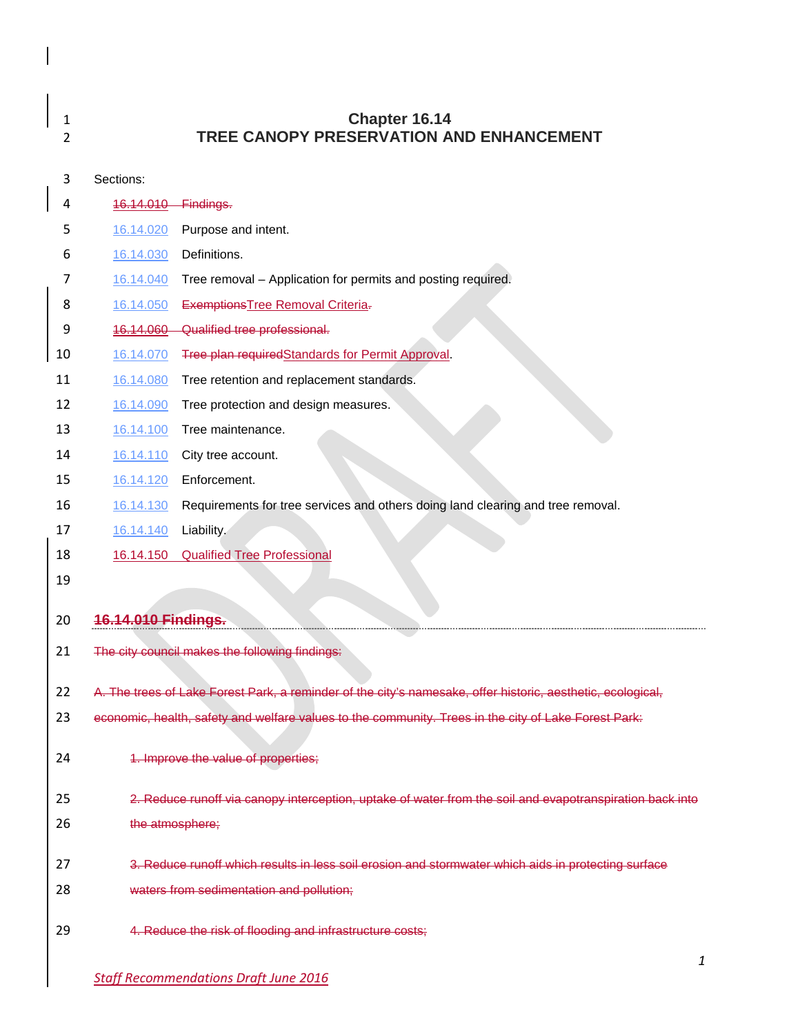| 1<br>2 |                      | <b>Chapter 16.14</b><br>TREE CANOPY PRESERVATION AND ENHANCEMENT                                            |
|--------|----------------------|-------------------------------------------------------------------------------------------------------------|
| 3      | Sections:            |                                                                                                             |
| 4      | <del>16.14.010</del> | Findings.                                                                                                   |
| 5      | 16.14.020            | Purpose and intent.                                                                                         |
| 6      | 16.14.030            | Definitions.                                                                                                |
| 7      | 16.14.040            | Tree removal - Application for permits and posting required.                                                |
| 8      | 16.14.050            | <b>Exemptions Tree Removal Criteria-</b>                                                                    |
| 9      | 16.14.060            | Qualified tree professional.                                                                                |
| 10     | 16.14.070            | Tree plan requiredStandards for Permit Approval.                                                            |
| 11     | 16.14.080            | Tree retention and replacement standards.                                                                   |
| 12     | 16.14.090            | Tree protection and design measures.                                                                        |
| 13     | 16.14.100            | Tree maintenance.                                                                                           |
| 14     | 16.14.110            | City tree account.                                                                                          |
| 15     | 16.14.120            | Enforcement.                                                                                                |
| 16     | 16.14.130            | Requirements for tree services and others doing land clearing and tree removal.                             |
| 17     | 16.14.140            | Liability.                                                                                                  |
| 18     | 16.14.150            | <b>Qualified Tree Professional</b>                                                                          |
| 19     |                      |                                                                                                             |
| 20     | 16.14.010 Findings.  |                                                                                                             |
| 21     |                      | The city council makes the following findings:                                                              |
| 22     |                      | A. The trees of Lake Forest Park, a reminder of the city's namesake, offer historic, aesthetic, ecological, |
| 23     |                      | economic, health, safety and welfare values to the community. Trees in the city of Lake Forest Park:        |
| 24     |                      | 1. Improve the value of properties;                                                                         |
| 25     |                      | 2. Reduce runoff via canopy interception, uptake of water from the soil and evapotranspiration back into    |
| 26     | the atmosphere;      |                                                                                                             |
| 27     |                      | 3. Reduce runoff which results in less soil erosion and stormwater which aids in protecting surface         |
| 28     |                      | waters from sedimentation and pollution;                                                                    |
| 29     |                      | 4. Reduce the risk of flooding and infrastructure costs;                                                    |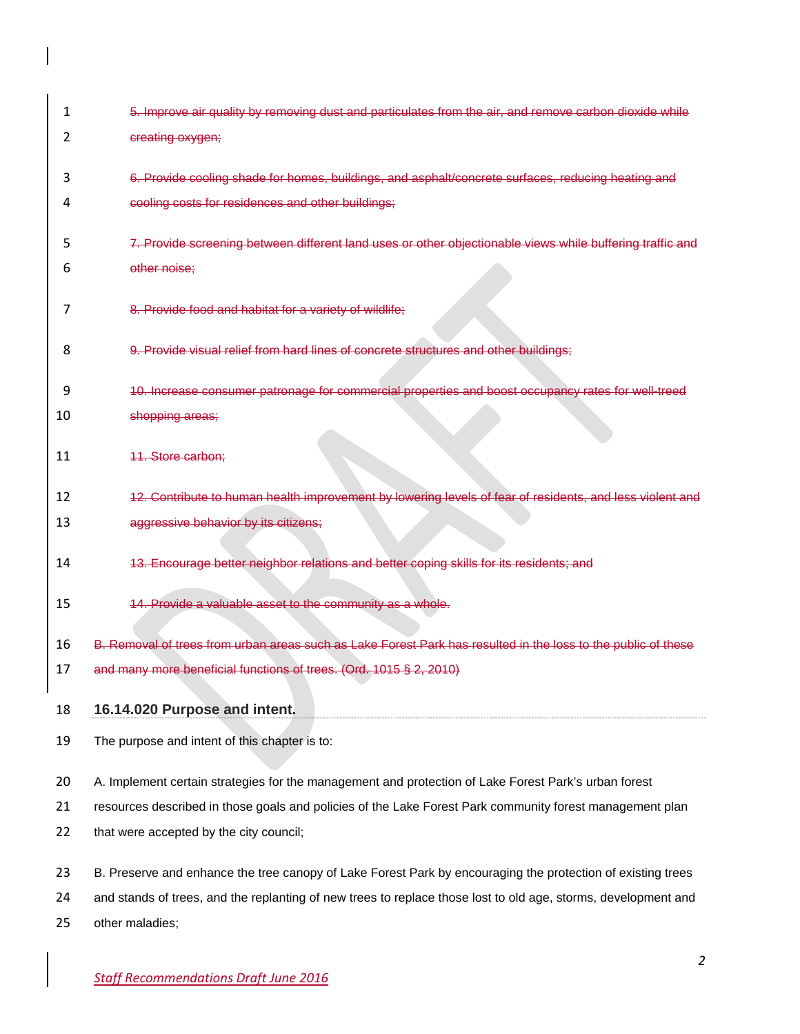| 1  | 5. Improve air quality by removing dust and particulates from the air, and remove carbon dioxide while         |
|----|----------------------------------------------------------------------------------------------------------------|
| 2  | creating oxygen;                                                                                               |
| 3  | 6. Provide cooling shade for homes, buildings, and asphalt/concrete surfaces, reducing heating and             |
| 4  | cooling costs for residences and other buildings;                                                              |
|    |                                                                                                                |
| 5  | 7. Provide screening between different land uses or other objectionable views while buffering traffic and      |
| 6  | other noise;                                                                                                   |
| 7  | 8. Provide food and habitat for a variety of wildlife;                                                         |
| 8  | 9. Provide visual relief from hard lines of concrete structures and other buildings;                           |
| 9  | 10. Increase consumer patronage for commercial properties and boost occupancy rates for well-treed             |
| 10 | shopping areas;                                                                                                |
| 11 | <b>11. Store carbon:</b>                                                                                       |
| 12 | 12. Contribute to human health improvement by lowering levels of fear of residents, and less violent and       |
| 13 | aggressive behavior by its citizens;                                                                           |
| 14 | 13. Encourage better neighbor relations and better coping skills for its residents; and                        |
| 15 | 14. Provide a valuable asset to the community as a whole.                                                      |
| 16 | B. Removal of trees from urban areas such as Lake Forest Park has resulted in the loss to the public of these  |
| 17 | and many more beneficial functions of trees. (Ord. 1015 § 2, 2010)                                             |
| 18 | 16.14.020 Purpose and intent.                                                                                  |
|    |                                                                                                                |
| 19 | The purpose and intent of this chapter is to:                                                                  |
| 20 | A. Implement certain strategies for the management and protection of Lake Forest Park's urban forest           |
| 21 | resources described in those goals and policies of the Lake Forest Park community forest management plan       |
| 22 | that were accepted by the city council;                                                                        |
|    |                                                                                                                |
| 23 | B. Preserve and enhance the tree canopy of Lake Forest Park by encouraging the protection of existing trees    |
| 24 | and stands of trees, and the replanting of new trees to replace those lost to old age, storms, development and |
| 25 | other maladies;                                                                                                |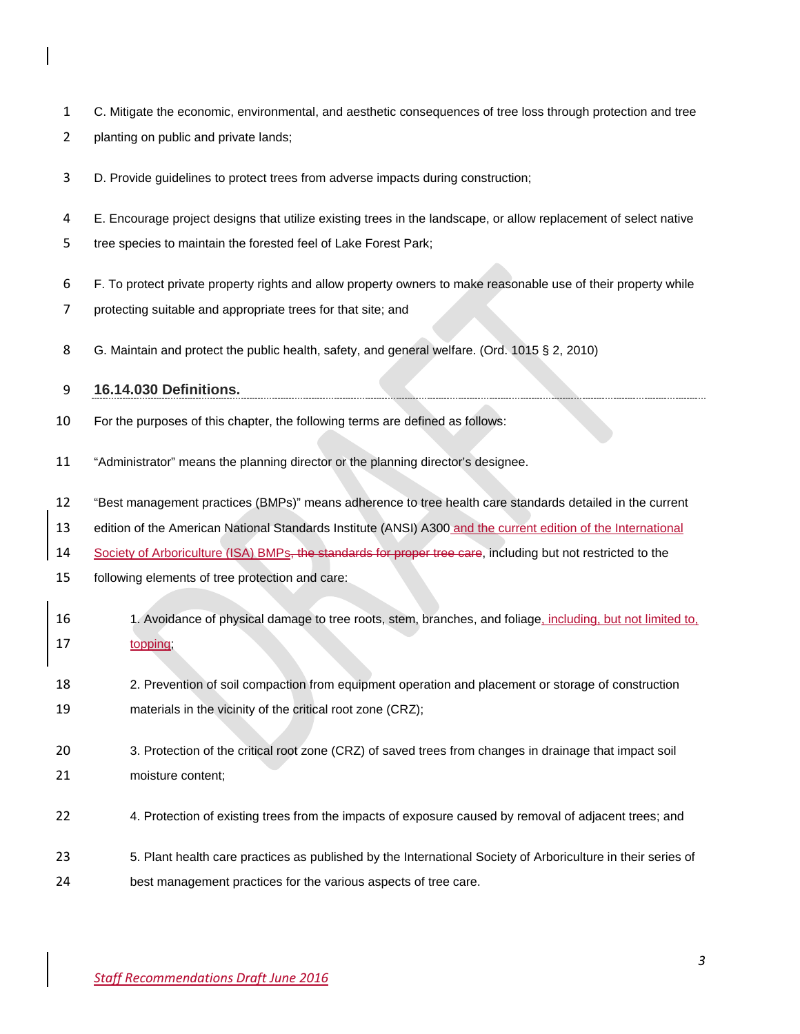- C. Mitigate the economic, environmental, and aesthetic consequences of tree loss through protection and tree
- planting on public and private lands;
- D. Provide guidelines to protect trees from adverse impacts during construction;
- E. Encourage project designs that utilize existing trees in the landscape, or allow replacement of select native
- tree species to maintain the forested feel of Lake Forest Park;
- F. To protect private property rights and allow property owners to make reasonable use of their property while
- protecting suitable and appropriate trees for that site; and
- 8 G. Maintain and protect the public health, safety, and general welfare. (Ord. 1015 § 2, 2010)

### **16.14.030 Definitions.**

- For the purposes of this chapter, the following terms are defined as follows:
- "Administrator" means the planning director or the planning director's designee.
- "Best management practices (BMPs)" means adherence to tree health care standards detailed in the current
- 13 edition of the American National Standards Institute (ANSI) A300 and the current edition of the International
- 14 Society of Arboriculture (ISA) BMPs, the standards for proper tree care, including but not restricted to the
- following elements of tree protection and care:
- 1. Avoidance of physical damage to tree roots, stem, branches, and foliage, including, but not limited to, topping;
- 2. Prevention of soil compaction from equipment operation and placement or storage of construction materials in the vicinity of the critical root zone (CRZ);
- 3. Protection of the critical root zone (CRZ) of saved trees from changes in drainage that impact soil moisture content;
- 4. Protection of existing trees from the impacts of exposure caused by removal of adjacent trees; and
- 5. Plant health care practices as published by the International Society of Arboriculture in their series of
- best management practices for the various aspects of tree care.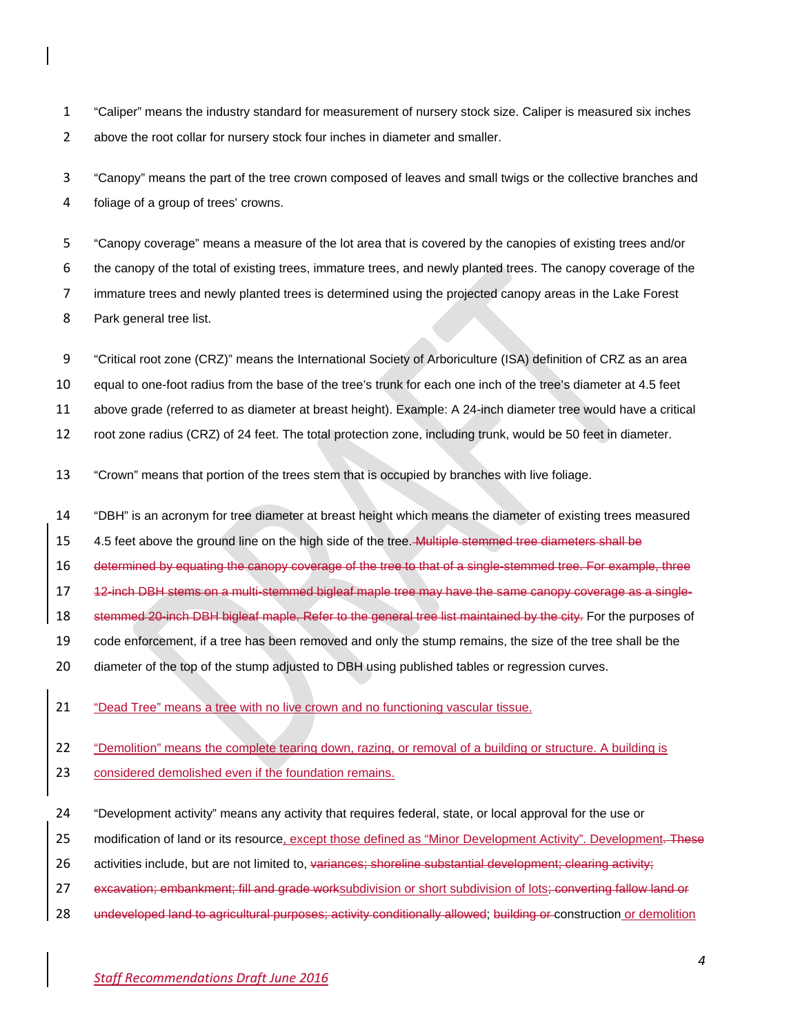"Caliper" means the industry standard for measurement of nursery stock size. Caliper is measured six inches above the root collar for nursery stock four inches in diameter and smaller.

 "Canopy" means the part of the tree crown composed of leaves and small twigs or the collective branches and foliage of a group of trees' crowns.

 "Canopy coverage" means a measure of the lot area that is covered by the canopies of existing trees and/or the canopy of the total of existing trees, immature trees, and newly planted trees. The canopy coverage of the immature trees and newly planted trees is determined using the projected canopy areas in the Lake Forest Park general tree list.

"Critical root zone (CRZ)" means the International Society of Arboriculture (ISA) definition of CRZ as an area

equal to one-foot radius from the base of the tree's trunk for each one inch of the tree's diameter at 4.5 feet

above grade (referred to as diameter at breast height). Example: A 24-inch diameter tree would have a critical

root zone radius (CRZ) of 24 feet. The total protection zone, including trunk, would be 50 feet in diameter.

"Crown" means that portion of the trees stem that is occupied by branches with live foliage.

"DBH" is an acronym for tree diameter at breast height which means the diameter of existing trees measured

15 4.5 feet above the ground line on the high side of the tree. Multiple stemmed tree diameters shall be

determined by equating the canopy coverage of the tree to that of a single-stemmed tree. For example, three

12-inch DBH stems on a multi-stemmed bigleaf maple tree may have the same canopy coverage as a single-

18 stemmed 20-inch DBH bigleaf maple. Refer to the general tree list maintained by the city. For the purposes of

code enforcement, if a tree has been removed and only the stump remains, the size of the tree shall be the

20 diameter of the top of the stump adjusted to DBH using published tables or regression curves.

"Dead Tree" means a tree with no live crown and no functioning vascular tissue.

"Demolition" means the complete tearing down, razing, or removal of a building or structure. A building is

considered demolished even if the foundation remains.

"Development activity" means any activity that requires federal, state, or local approval for the use or

25 modification of land or its resource, except those defined as "Minor Development Activity". Development. These

26 activities include, but are not limited to, variances; shoreline substantial development; clearing activity;

27 excavation; embankment; fill and grade worksubdivision or short subdivision of lots; converting fallow land or

28 undeveloped land to agricultural purposes; activity conditionally allowed; building or construction or demolition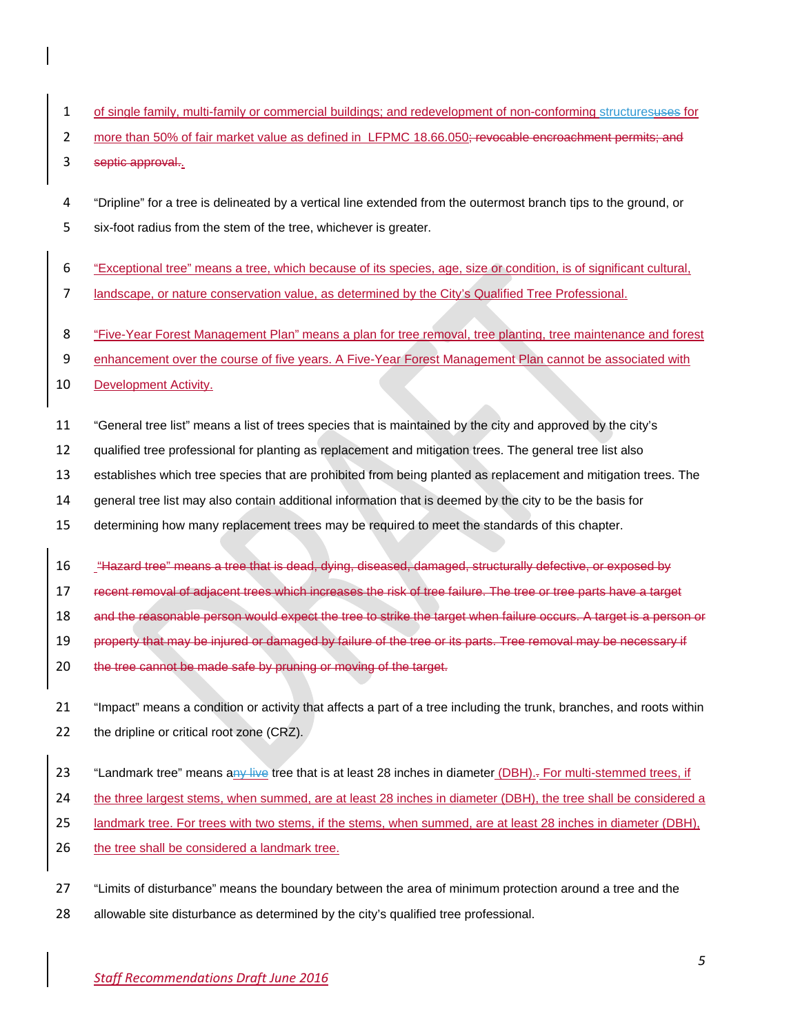- 1 of single family, multi-family or commercial buildings; and redevelopment of non-conforming structuresuses for
- 2 more than 50% of fair market value as defined in LFPMC 18.66.050; revocable encroachment permits; and
- 3 septic approval.
- 4 "Dripline" for a tree is delineated by a vertical line extended from the outermost branch tips to the ground, or 5 six-foot radius from the stem of the tree, whichever is greater.
- 6 "Exceptional tree" means a tree, which because of its species, age, size or condition, is of significant cultural,
- 7 landscape, or nature conservation value, as determined by the City's Qualified Tree Professional.
- 8 "Five-Year Forest Management Plan" means a plan for tree removal, tree planting, tree maintenance and forest
- 9 enhancement over the course of five years. A Five-Year Forest Management Plan cannot be associated with
- 10 Development Activity.
- 11 "General tree list" means a list of trees species that is maintained by the city and approved by the city's
- 12 qualified tree professional for planting as replacement and mitigation trees. The general tree list also
- 13 establishes which tree species that are prohibited from being planted as replacement and mitigation trees. The
- 14 general tree list may also contain additional information that is deemed by the city to be the basis for
- 15 determining how many replacement trees may be required to meet the standards of this chapter.
- 16 "Hazard tree" means a tree that is dead, dying, diseased, damaged, structurally defective, or exposed by
- 17 recent removal of adjacent trees which increases the risk of tree failure. The tree or tree parts have a target
- 18 and the reasonable person would expect the tree to strike the target when failure occurs. A target is a person or
- 19 property that may be injured or damaged by failure of the tree or its parts. Tree removal may be necessary if
- 20 the tree cannot be made safe by pruning or moving of the target.
- 21 "Impact" means a condition or activity that affects a part of a tree including the trunk, branches, and roots within 22 the dripline or critical root zone (CRZ).
- 23 "Landmark tree" means any live tree that is at least 28 inches in diameter (DBH).- For multi-stemmed trees, if
- 24 the three largest stems, when summed, are at least 28 inches in diameter (DBH), the tree shall be considered a
- 25 landmark tree. For trees with two stems, if the stems, when summed, are at least 28 inches in diameter (DBH),
- 26 the tree shall be considered a landmark tree.
- 27 "Limits of disturbance" means the boundary between the area of minimum protection around a tree and the
- 28 allowable site disturbance as determined by the city's qualified tree professional.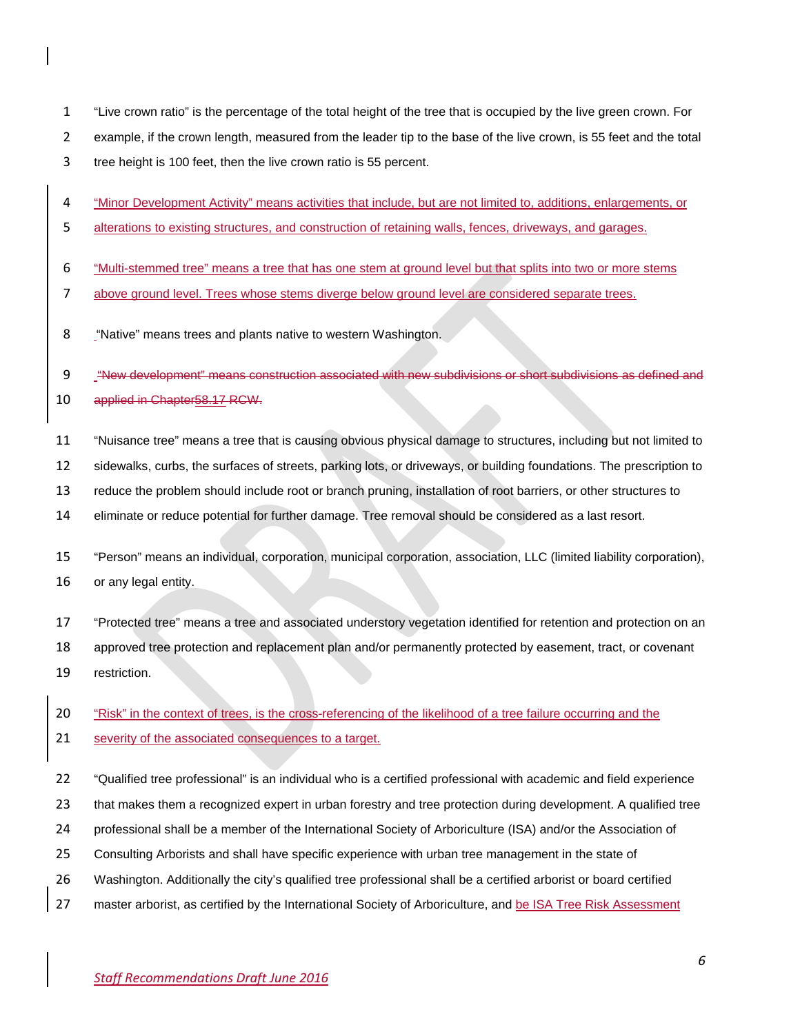- "Live crown ratio" is the percentage of the total height of the tree that is occupied by the live green crown. For
- example, if the crown length, measured from the leader tip to the base of the live crown, is 55 feet and the total
- tree height is 100 feet, then the live crown ratio is 55 percent.
- "Minor Development Activity" means activities that include, but are not limited to, additions, enlargements, or
- alterations to existing structures, and construction of retaining walls, fences, driveways, and garages.
- "Multi-stemmed tree" means a tree that has one stem at ground level but that splits into two or more stems
- above ground level. Trees whose stems diverge below ground level are considered separate trees.
- "Native" means trees and plants native to western Washington.

"New development" means construction associated with new subdivisions or short subdivisions as defined and

- applied in Chapter58.17 RCW.
- "Nuisance tree" means a tree that is causing obvious physical damage to structures, including but not limited to
- sidewalks, curbs, the surfaces of streets, parking lots, or driveways, or building foundations. The prescription to
- reduce the problem should include root or branch pruning, installation of root barriers, or other structures to
- eliminate or reduce potential for further damage. Tree removal should be considered as a last resort.
- "Person" means an individual, corporation, municipal corporation, association, LLC (limited liability corporation), or any legal entity.
- "Protected tree" means a tree and associated understory vegetation identified for retention and protection on an approved tree protection and replacement plan and/or permanently protected by easement, tract, or covenant restriction.
- "Risk" in the context of trees, is the cross-referencing of the likelihood of a tree failure occurring and the
- 21 severity of the associated consequences to a target.
- "Qualified tree professional" is an individual who is a certified professional with academic and field experience
- that makes them a recognized expert in urban forestry and tree protection during development. A qualified tree
- professional shall be a member of the International Society of Arboriculture (ISA) and/or the Association of
- Consulting Arborists and shall have specific experience with urban tree management in the state of
- Washington. Additionally the city's qualified tree professional shall be a certified arborist or board certified
- 27 master arborist, as certified by the International Society of Arboriculture, and be ISA Tree Risk Assessment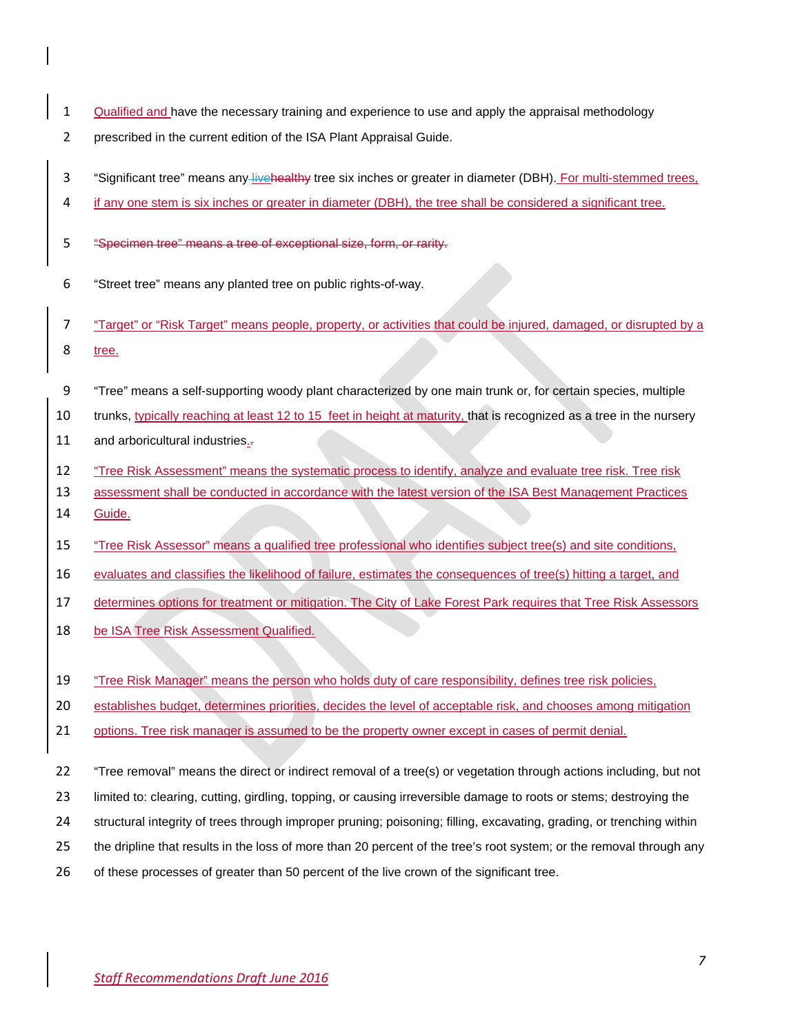- 1 Qualified and have the necessary training and experience to use and apply the appraisal methodology
- prescribed in the current edition of the ISA Plant Appraisal Guide.
- 3 "Significant tree" means any live healthy tree six inches or greater in diameter (DBH). For multi-stemmed trees,
- if any one stem is six inches or greater in diameter (DBH), the tree shall be considered a significant tree.
- "Specimen tree" means a tree of exceptional size, form, or rarity.
- "Street tree" means any planted tree on public rights-of-way.
- "Target" or "Risk Target" means people, property, or activities that could be injured, damaged, or disrupted by a tree.
- "Tree" means a self-supporting woody plant characterized by one main trunk or, for certain species, multiple
- 10 trunks, typically reaching at least 12 to 15 feet in height at maturity, that is recognized as a tree in the nursery
- and arboricultural industries..
- "Tree Risk Assessment" means the systematic process to identify, analyze and evaluate tree risk. Tree risk
- assessment shall be conducted in accordance with the latest version of the ISA Best Management Practices
- Guide.
- "Tree Risk Assessor" means a qualified tree professional who identifies subject tree(s) and site conditions,
- evaluates and classifies the likelihood of failure, estimates the consequences of tree(s) hitting a target, and
- determines options for treatment or mitigation. The City of Lake Forest Park requires that Tree Risk Assessors
- be ISA Tree Risk Assessment Qualified.
- 19 "Tree Risk Manager" means the person who holds duty of care responsibility, defines tree risk policies,
- establishes budget, determines priorities, decides the level of acceptable risk, and chooses among mitigation
- 21 options. Tree risk manager is assumed to be the property owner except in cases of permit denial.
- "Tree removal" means the direct or indirect removal of a tree(s) or vegetation through actions including, but not
- limited to: clearing, cutting, girdling, topping, or causing irreversible damage to roots or stems; destroying the
- structural integrity of trees through improper pruning; poisoning; filling, excavating, grading, or trenching within
- 25 the dripline that results in the loss of more than 20 percent of the tree's root system; or the removal through any
- of these processes of greater than 50 percent of the live crown of the significant tree.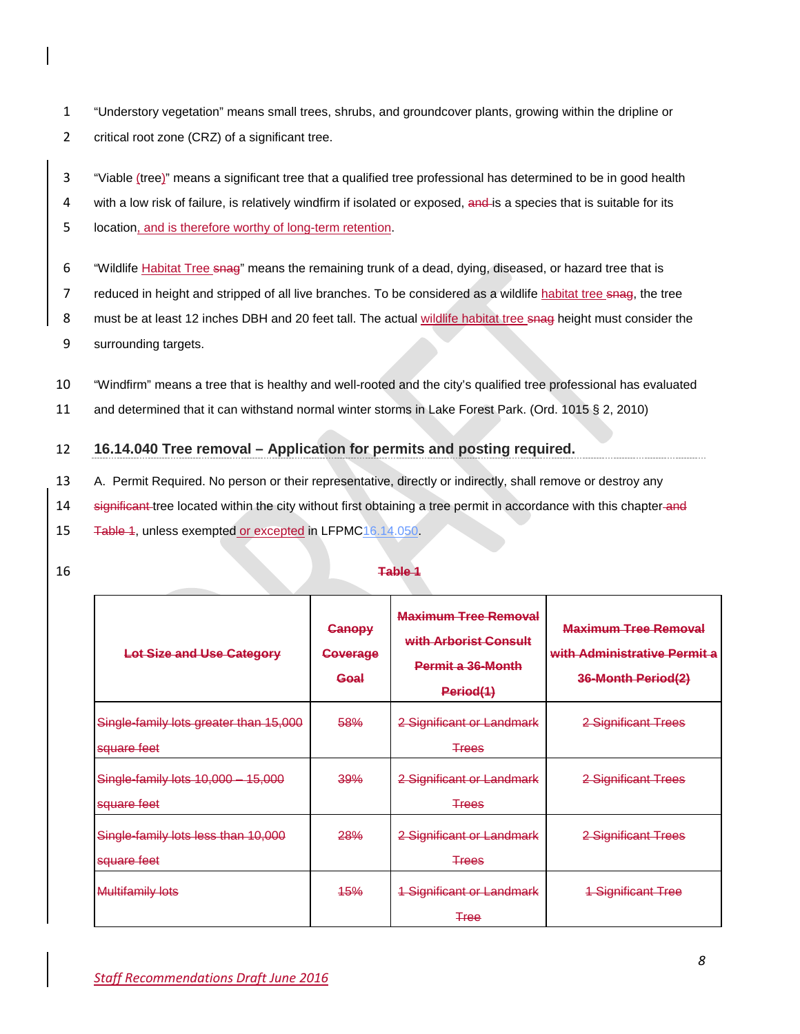- 1 "Understory vegetation" means small trees, shrubs, and groundcover plants, growing within the dripline or 2 critical root zone (CRZ) of a significant tree.
- 3 "Viable (tree)" means a significant tree that a qualified tree professional has determined to be in good health
- 4 with a low risk of failure, is relatively windfirm if isolated or exposed, and is a species that is suitable for its
- 5 location, and is therefore worthy of long-term retention.
- 6 "Wildlife Habitat Tree snag" means the remaining trunk of a dead, dying, diseased, or hazard tree that is
- 7 reduced in height and stripped of all live branches. To be considered as a wildlife habitat tree snag, the tree
- 8 must be at least 12 inches DBH and 20 feet tall. The actual wildlife habitat tree snag height must consider the
- 9 surrounding targets.
- 10 "Windfirm" means a tree that is healthy and well-rooted and the city's qualified tree professional has evaluated
- 11 and determined that it can withstand normal winter storms in Lake Forest Park. (Ord. 1015 § 2, 2010)

## 12 **16.14.040 Tree removal – Application for permits and posting required.**

- 13 A. Permit Required. No person or their representative, directly or indirectly, shall remove or destroy any
- 14 significant tree located within the city without first obtaining a tree permit in accordance with this chapter and
- 15 Table 1, unless exempted or excepted in LFPM[C16.14.050.](http://www.codepublishing.com/WA/LakeForestPark/html/LakeForestPark16/LakeForestPark1614.html#16.14.050)
- 

## 16 **Table 1**

| <b>Lot Size and Use Category</b>                      | <b>Canopy</b><br><b>Coverage</b><br>Goal | <b>Maximum Tree Removal</b><br>with Arborist Consult<br><b>Permit a 36-Month</b><br>Period(1) | <b>Maximum Tree Removal</b><br>with Administrative Permit a<br>36-Month Period(2) |
|-------------------------------------------------------|------------------------------------------|-----------------------------------------------------------------------------------------------|-----------------------------------------------------------------------------------|
| Single-family lots greater than 15,000<br>square feet | 58%                                      | 2 Significant or Landmark<br><del>Trees</del>                                                 | 2 Significant Trees                                                               |
| Single-family lots 10,000 - 15,000<br>square feet     | 39%                                      | 2 Significant or Landmark<br><b>Trees</b>                                                     | 2 Significant Trees                                                               |
| Single-family lots less than 10,000<br>square feet    | 28%                                      | 2 Significant or Landmark<br><del>Trees</del>                                                 | 2 Significant Trees                                                               |
| <b>Multifamily lots</b>                               | <b>45%</b>                               | <b>1 Significant or Landmark</b><br>∓ree                                                      | <b>1 Significant Tree</b>                                                         |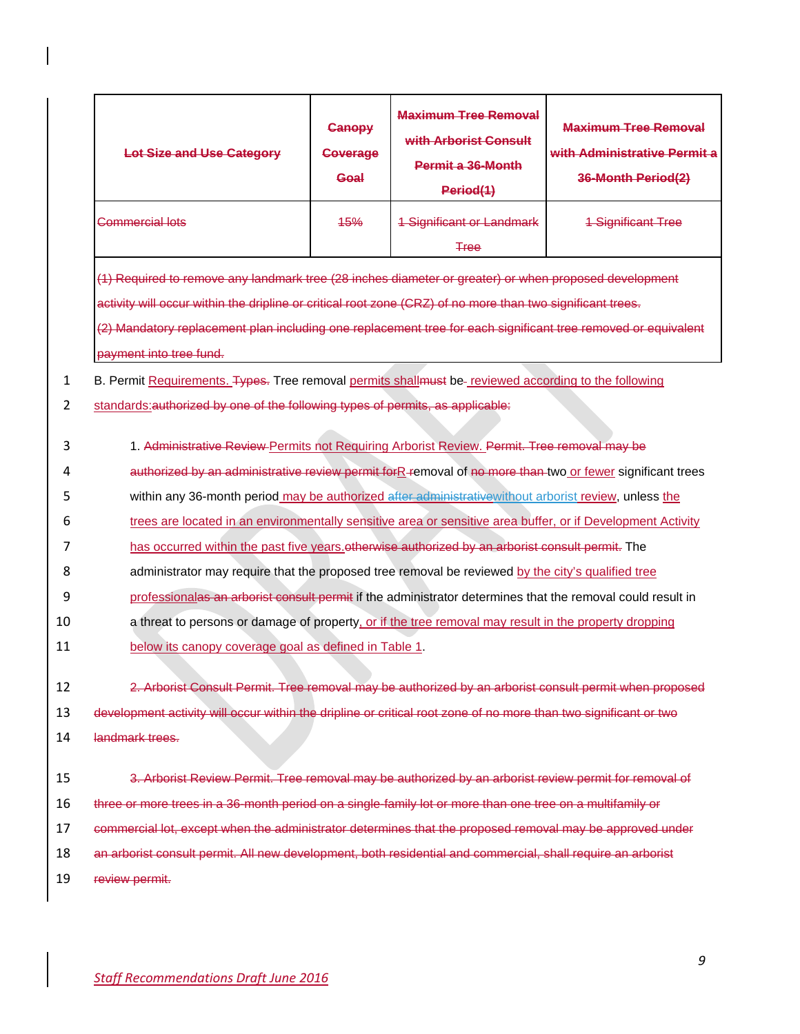|                                             | Lot Size and Use Category                                                                                                                                                                                                                                                                                                                                                                                                                                                                                                                                                                                                                                                                                                                                                                                                                                                                                                | <b>Canopy</b><br>Coverage<br>Goal | <b>Maximum Tree Removal</b><br>with Arborist Consult<br>Permit a 36-Month<br>Period(1) | <b>Maximum Tree Removal</b><br>with Administrative Permit a<br>36-Month Period(2) |
|---------------------------------------------|--------------------------------------------------------------------------------------------------------------------------------------------------------------------------------------------------------------------------------------------------------------------------------------------------------------------------------------------------------------------------------------------------------------------------------------------------------------------------------------------------------------------------------------------------------------------------------------------------------------------------------------------------------------------------------------------------------------------------------------------------------------------------------------------------------------------------------------------------------------------------------------------------------------------------|-----------------------------------|----------------------------------------------------------------------------------------|-----------------------------------------------------------------------------------|
|                                             | <del>Commercial lots</del>                                                                                                                                                                                                                                                                                                                                                                                                                                                                                                                                                                                                                                                                                                                                                                                                                                                                                               | <b>45%</b>                        | <b>1 Significant or Landmark</b><br><b>Tree</b>                                        | <b>1 Significant Tree</b>                                                         |
|                                             | (1) Required to remove any landmark tree (28 inches diameter or greater) or when proposed development<br>activity will occur within the dripline or critical root zone (CRZ) of no more than two significant trees.<br>(2) Mandatory replacement plan including one replacement tree for each significant tree removed or equivalent<br>payment into tree fund.                                                                                                                                                                                                                                                                                                                                                                                                                                                                                                                                                          |                                   |                                                                                        |                                                                                   |
| $\mathbf{1}$                                | B. Permit Requirements. Types. Tree removal permits shallmust be-reviewed according to the following                                                                                                                                                                                                                                                                                                                                                                                                                                                                                                                                                                                                                                                                                                                                                                                                                     |                                   |                                                                                        |                                                                                   |
| 2                                           | standards: authorized by one of the following types of permits, as applicable:                                                                                                                                                                                                                                                                                                                                                                                                                                                                                                                                                                                                                                                                                                                                                                                                                                           |                                   |                                                                                        |                                                                                   |
| 3<br>4<br>5<br>6<br>7<br>8<br>9<br>10<br>11 | 1. Administrative Review Permits not Requiring Arborist Review. Permit. Tree removal may be<br>authorized by an administrative review permit forR-removal of no more than two or fewer significant trees<br>within any 36-month period may be authorized after administrative without arborist review, unless the<br>trees are located in an environmentally sensitive area or sensitive area buffer, or if Development Activity<br>has occurred within the past five years otherwise authorized by an arborist consult permit. The<br>administrator may require that the proposed tree removal be reviewed by the city's qualified tree<br>professionalas an arborist consult permit if the administrator determines that the removal could result in<br>a threat to persons or damage of property, or if the tree removal may result in the property dropping<br>below its canopy coverage goal as defined in Table 1. |                                   |                                                                                        |                                                                                   |
| 12                                          | 2. Arborist Consult Permit. Tree removal may be authorized by an arborist consult permit when proposed                                                                                                                                                                                                                                                                                                                                                                                                                                                                                                                                                                                                                                                                                                                                                                                                                   |                                   |                                                                                        |                                                                                   |
| 13                                          | development activity will occur within the dripline or critical root zone of no more than two significant or two                                                                                                                                                                                                                                                                                                                                                                                                                                                                                                                                                                                                                                                                                                                                                                                                         |                                   |                                                                                        |                                                                                   |
| 14                                          | landmark trees.                                                                                                                                                                                                                                                                                                                                                                                                                                                                                                                                                                                                                                                                                                                                                                                                                                                                                                          |                                   |                                                                                        |                                                                                   |
| 15<br>16<br>17<br>18<br>19                  | 3. Arborist Review Permit. Tree removal may be authorized by an arborist review permit for removal of<br>three or more trees in a 36-month period on a single-family lot or more than one tree on a multifamily or<br>commercial lot, except when the administrator determines that the proposed removal may be approved under<br>an arborist consult permit. All new development, both residential and commercial, shall require an arborist<br>review permit.                                                                                                                                                                                                                                                                                                                                                                                                                                                          |                                   |                                                                                        |                                                                                   |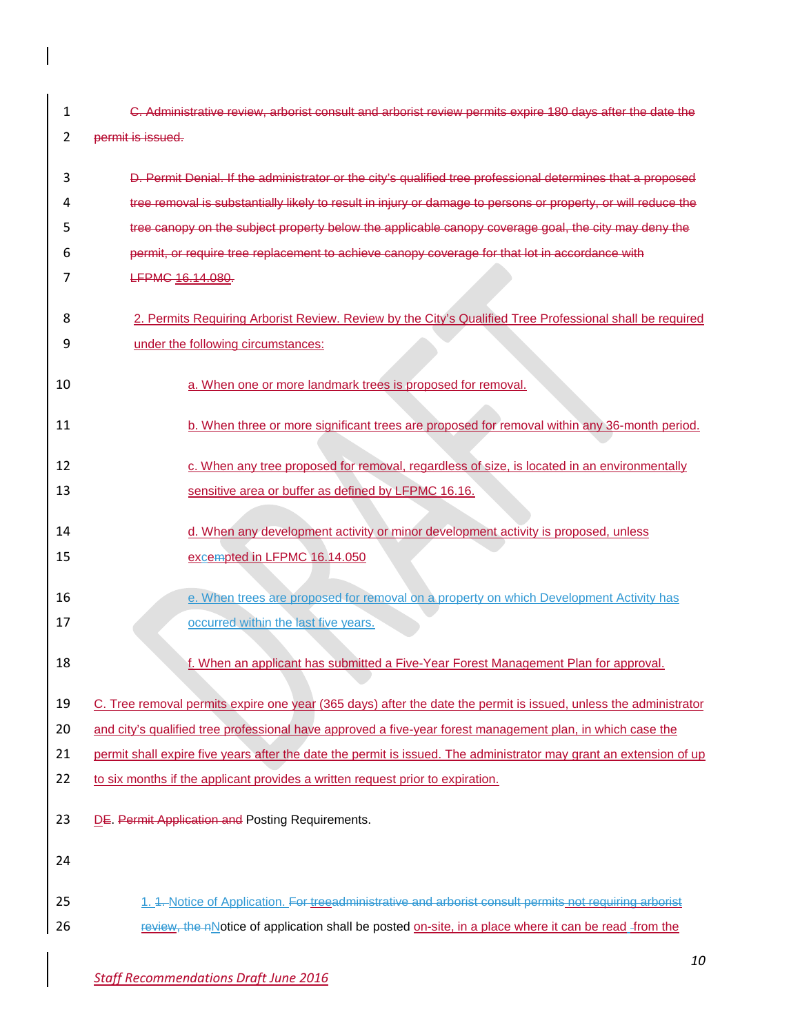|                | C. Administrative review, arborist consult and arborist review permits expire 180 days after the date the |
|----------------|-----------------------------------------------------------------------------------------------------------|
| $\overline{ }$ | permit is issued.                                                                                         |

| 3  | D. Permit Denial. If the administrator or the city's qualified tree professional determines that a proposed        |
|----|--------------------------------------------------------------------------------------------------------------------|
| 4  | tree removal is substantially likely to result in injury or damage to persons or property, or will reduce the      |
| 5  | tree canopy on the subject property below the applicable canopy coverage goal, the city may deny the               |
| 6  | permit, or require tree replacement to achieve canopy coverage for that lot in accordance with                     |
| 7  | LFPMC 16.14.080.                                                                                                   |
| 8  | 2. Permits Requiring Arborist Review. Review by the City's Qualified Tree Professional shall be required           |
| 9  | under the following circumstances:                                                                                 |
| 10 | a. When one or more landmark trees is proposed for removal.                                                        |
| 11 | b. When three or more significant trees are proposed for removal within any 36-month period.                       |
| 12 | c. When any tree proposed for removal, regardless of size, is located in an environmentally                        |
| 13 | sensitive area or buffer as defined by LFPMC 16.16.                                                                |
| 14 | d. When any development activity or minor development activity is proposed, unless                                 |
| 15 | excempted in LFPMC 16.14.050                                                                                       |
| 16 | e. When trees are proposed for removal on a property on which Development Activity has                             |
| 17 | occurred within the last five years.                                                                               |
| 18 | f. When an applicant has submitted a Five-Year Forest Management Plan for approval.                                |
| 19 | C. Tree removal permits expire one year (365 days) after the date the permit is issued, unless the administrator   |
| 20 | and city's qualified tree professional have approved a five-year forest management plan, in which case the         |
| 21 | permit shall expire five years after the date the permit is issued. The administrator may grant an extension of up |
| 22 | to six months if the applicant provides a written request prior to expiration.                                     |
| 23 | DE. Permit Application and Posting Requirements.                                                                   |
| 24 |                                                                                                                    |
| 25 | 1. 4. Notice of Application. For treeadministrative and arborist consult permits not requiring arborist            |
| 26 | review, the nNotice of application shall be posted on-site, in a place where it can be read -from the              |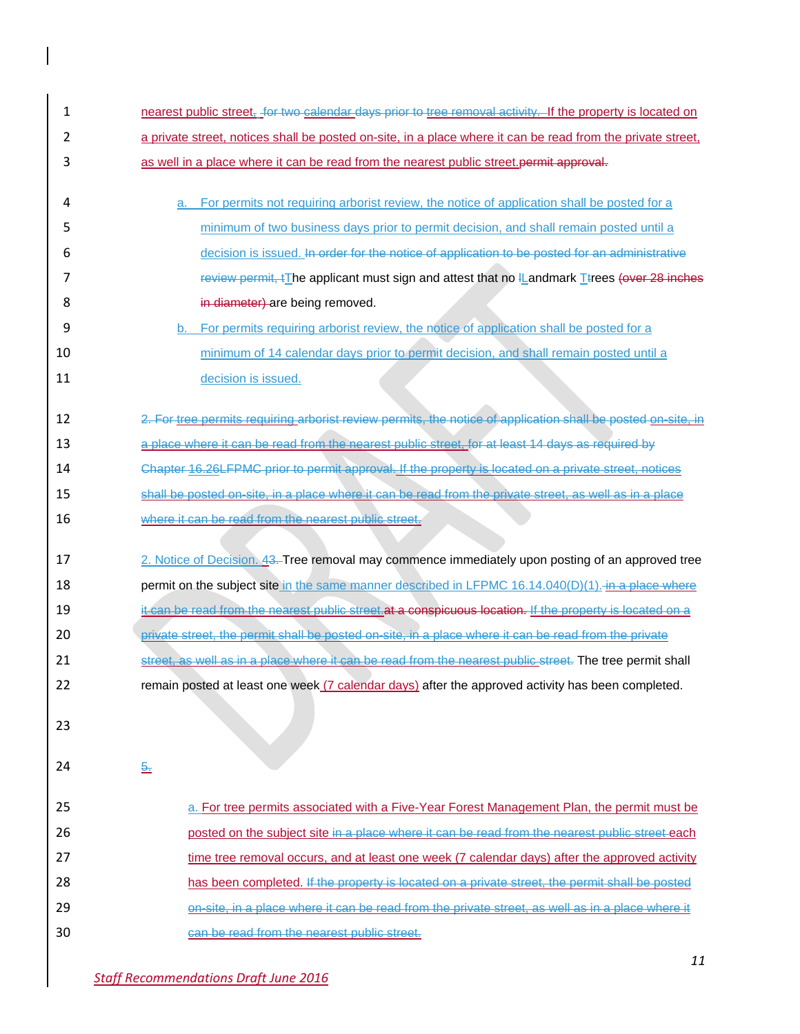| $\mathbf{1}$ | nearest public street, for two calendar days prior to tree removal activity. If the property is located on   |
|--------------|--------------------------------------------------------------------------------------------------------------|
| 2            | a private street, notices shall be posted on-site, in a place where it can be read from the private street,  |
| 3            | as well in a place where it can be read from the nearest public street.permit approval.                      |
| 4            | For permits not requiring arborist review, the notice of application shall be posted for a<br>a.             |
| 5            | minimum of two business days prior to permit decision, and shall remain posted until a                       |
| 6            | decision is issued. In order for the notice of application to be posted for an administrative                |
| 7            | review permit, *The applicant must sign and attest that no IL and mark Ttrees (over 28 inches                |
| 8            | in diameter) are being removed.                                                                              |
| 9            | b. For permits requiring arborist review, the notice of application shall be posted for a                    |
| 10           | minimum of 14 calendar days prior to permit decision, and shall remain posted until a                        |
| 11           | decision is issued.                                                                                          |
| 12           | 2. For tree permits requiring arborist review permits, the notice of application shall be posted on site, in |
| 13           | a place where it can be read from the nearest public street, for at least 14 days as required by             |
| 14           | Chapter 16.26LFPMC prior to permit approval. If the property is located on a private street, notices         |
| 15           | shall be posted on site, in a place where it can be read from the private street, as well as in a place      |
| 16           | where it can be read from the nearest public street.                                                         |
| 17           | 2. Notice of Decision. 43. Tree removal may commence immediately upon posting of an approved tree            |
| 18           | permit on the subject site in the same manner described in LFPMC 16.14.040(D)(1). in a place where           |
| 19           | it can be read from the nearest public street. at a conspicuous location. If the property is located on a    |
| 20           | private street, the permit shall be posted on-site, in a place where it can be read from the private         |
| 21           | street, as well as in a place where it can be read from the nearest public street. The tree permit shall     |
| 22           | remain posted at least one week (7 calendar days) after the approved activity has been completed.            |
| 23           |                                                                                                              |
| 24           | $\frac{5}{2}$                                                                                                |
| 25           | a. For tree permits associated with a Five-Year Forest Management Plan, the permit must be                   |
| 26           | posted on the subject site in a place where it can be read from the nearest public street each               |
| 27           | time tree removal occurs, and at least one week (7 calendar days) after the approved activity                |
| 28           | has been completed. If the property is located on a private street, the permit shall be posted               |
| 29           | on-site, in a place where it can be read from the private street, as well as in a place where it             |
| 30           | can be read from the nearest public street.                                                                  |

 $\overline{\phantom{a}}$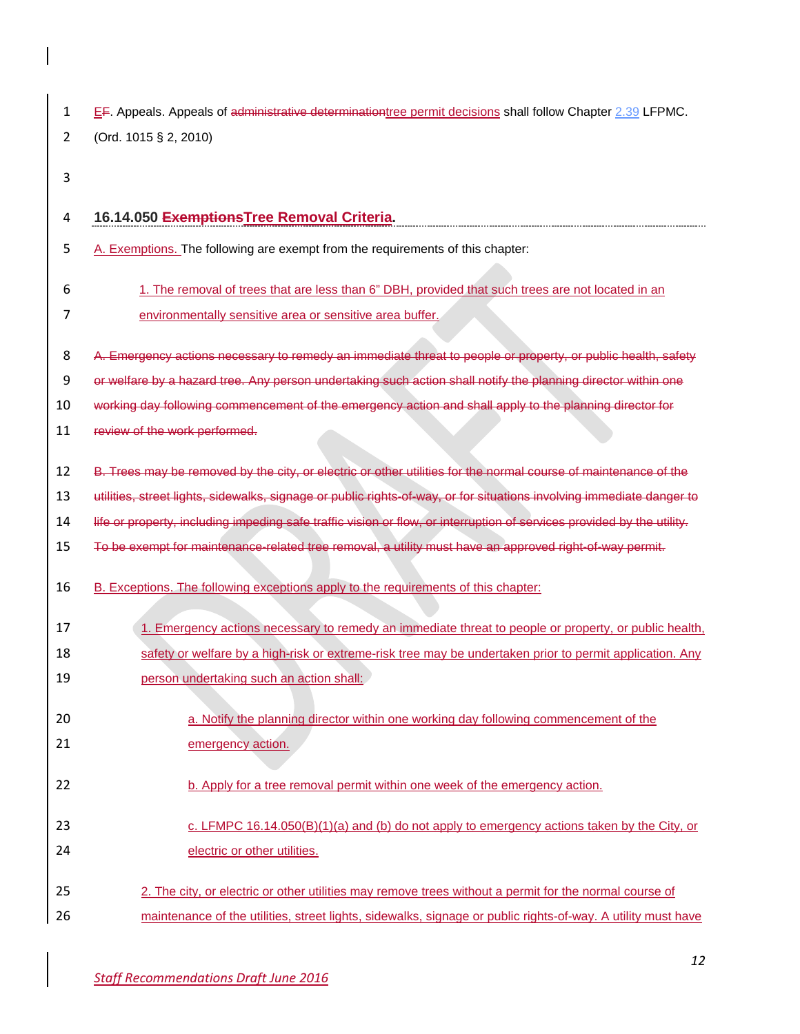| EF. Appeals. Appeals of administrative determination tree permit decisions shall follow Chapter 2.39 LFPMC. |
|-------------------------------------------------------------------------------------------------------------|
| 2 (Ord. 1015 § 2, 2010)                                                                                     |

# **16.14.050 ExemptionsTree Removal Criteria.** 5 A. Exemptions. The following are exempt from the requirements of this chapter: 1. The removal of trees that are less than 6" DBH, provided that such trees are not located in an environmentally sensitive area or sensitive area buffer. 8 A. Emergency actions necessary to remedy an immediate threat to people or property, or public health, safety or welfare by a hazard tree. Any person undertaking such action shall notify the planning director within one working day following commencement of the emergency action and shall apply to the planning director for 11 review of the work performed. 12 B. Trees may be removed by the city, or electric or other utilities for the normal course of maintenance of the utilities, street lights, sidewalks, signage or public rights-of-way, or for situations involving immediate danger to life or property, including impeding safe traffic vision or flow, or interruption of services provided by the utility. To be exempt for maintenance-related tree removal, a utility must have an approved right-of-way permit. 16 B. Exceptions. The following exceptions apply to the requirements of this chapter: 1. Emergency actions necessary to remedy an immediate threat to people or property, or public health, 18 safety or welfare by a high-risk or extreme-risk tree may be undertaken prior to permit application. Any **19** person undertaking such an action shall: **a.** Notify the planning director within one working day following commencement of the **emergency action.** 22 b. Apply for a tree removal permit within one week of the emergency action. 23 c. LFMPC 16.14.050(B)(1)(a) and (b) do not apply to emergency actions taken by the City, or **electric or other utilities.** 2. The city, or electric or other utilities may remove trees without a permit for the normal course of

maintenance of the utilities, street lights, sidewalks, signage or public rights-of-way. A utility must have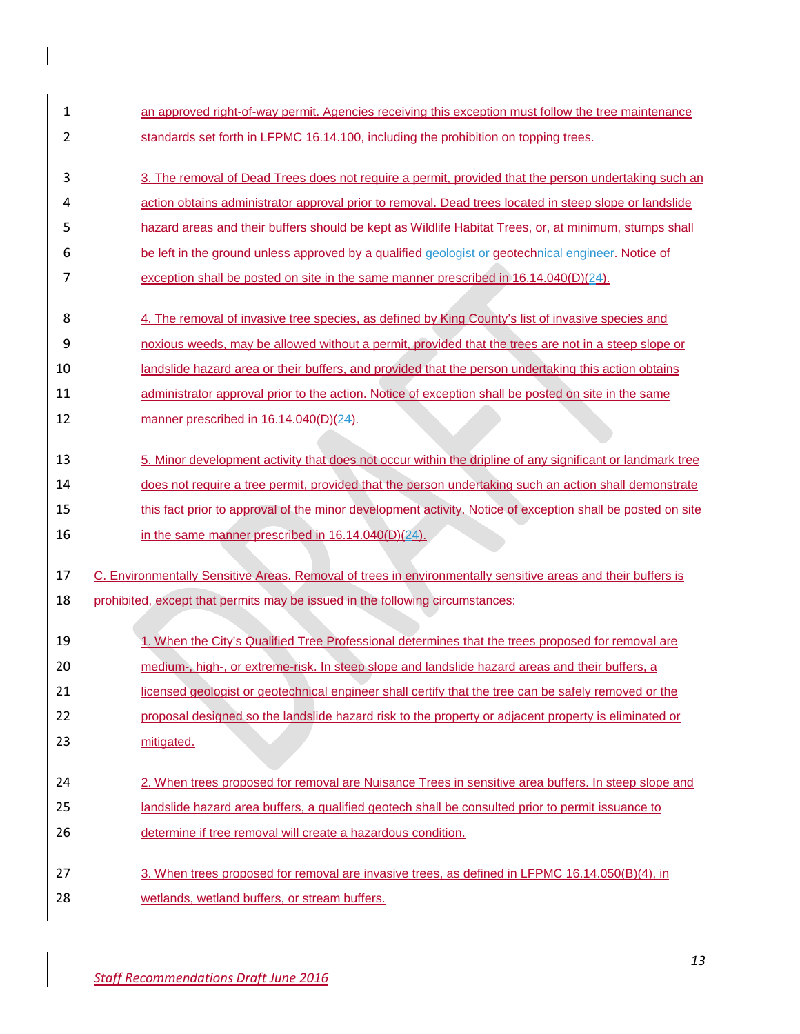| 1  | an approved right-of-way permit. Agencies receiving this exception must follow the tree maintenance          |
|----|--------------------------------------------------------------------------------------------------------------|
| 2  | standards set forth in LFPMC 16.14.100, including the prohibition on topping trees.                          |
| 3  | 3. The removal of Dead Trees does not require a permit, provided that the person undertaking such an         |
| 4  | action obtains administrator approval prior to removal. Dead trees located in steep slope or landslide       |
| 5  | hazard areas and their buffers should be kept as Wildlife Habitat Trees, or, at minimum, stumps shall        |
| 6  | be left in the ground unless approved by a qualified geologist or geotechnical engineer. Notice of           |
| 7  | exception shall be posted on site in the same manner prescribed in $16.14.040(D)(24)$ .                      |
| 8  | 4. The removal of invasive tree species, as defined by King County's list of invasive species and            |
| 9  | noxious weeds, may be allowed without a permit, provided that the trees are not in a steep slope or          |
| 10 | landslide hazard area or their buffers, and provided that the person undertaking this action obtains         |
| 11 | administrator approval prior to the action. Notice of exception shall be posted on site in the same          |
| 12 | manner prescribed in $16.14.040(D)(24)$ .                                                                    |
| 13 | 5. Minor development activity that does not occur within the dripline of any significant or landmark tree    |
| 14 | does not require a tree permit, provided that the person undertaking such an action shall demonstrate        |
| 15 | this fact prior to approval of the minor development activity. Notice of exception shall be posted on site   |
| 16 | in the same manner prescribed in 16.14.040(D)(24).                                                           |
| 17 | C. Environmentally Sensitive Areas. Removal of trees in environmentally sensitive areas and their buffers is |
| 18 | prohibited, except that permits may be issued in the following circumstances:                                |
| 19 | 1. When the City's Qualified Tree Professional determines that the trees proposed for removal are            |
| 20 | medium-, high-, or extreme-risk. In steep slope and landslide hazard areas and their buffers, a              |
| 21 | licensed geologist or geotechnical engineer shall certify that the tree can be safely removed or the         |
| 22 | proposal designed so the landslide hazard risk to the property or adjacent property is eliminated or         |
| 23 | mitigated.                                                                                                   |
|    |                                                                                                              |
| 24 | 2. When trees proposed for removal are Nuisance Trees in sensitive area buffers. In steep slope and          |
| 25 | landslide hazard area buffers, a qualified geotech shall be consulted prior to permit issuance to            |
| 26 | determine if tree removal will create a hazardous condition.                                                 |
| 27 | 3. When trees proposed for removal are invasive trees, as defined in LFPMC 16.14.050(B)(4), in               |
| 28 | wetlands, wetland buffers, or stream buffers.                                                                |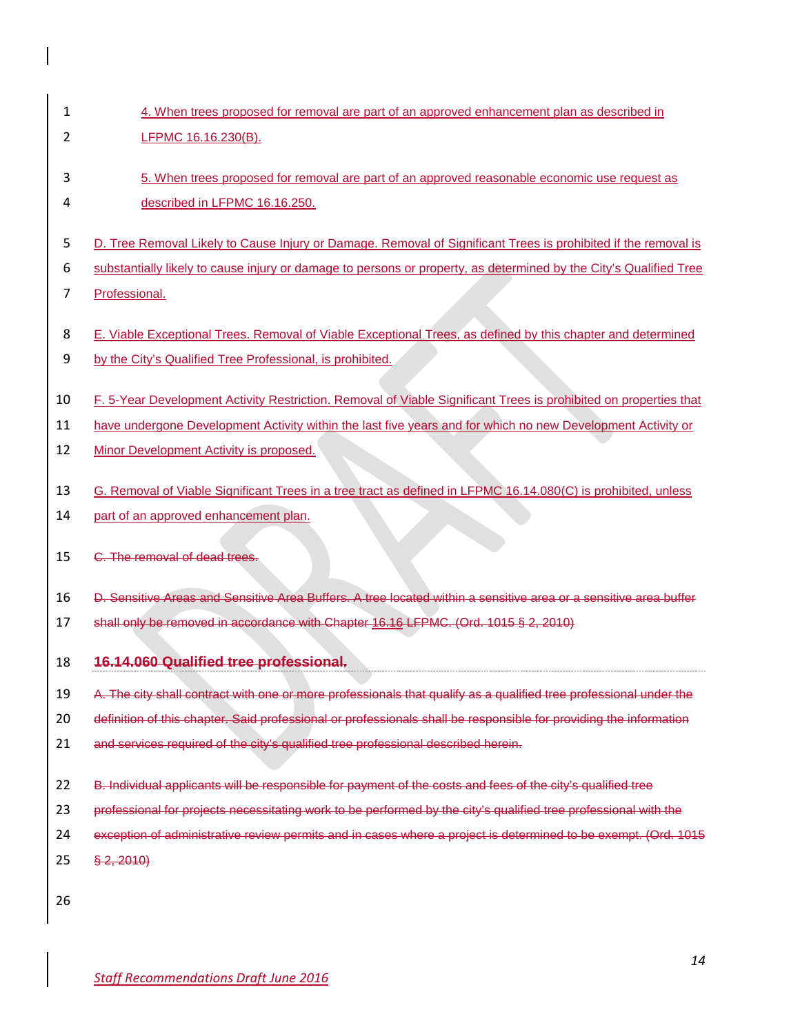- 4. When trees proposed for removal are part of an approved enhancement plan as described in LFPMC 16.16.230(B).
- 5. When trees proposed for removal are part of an approved reasonable economic use request as described in LFPMC 16.16.250.
- D. Tree Removal Likely to Cause Injury or Damage. Removal of Significant Trees is prohibited if the removal is
- substantially likely to cause injury or damage to persons or property, as determined by the City's Qualified Tree
- Professional.
- E. Viable Exceptional Trees. Removal of Viable Exceptional Trees, as defined by this chapter and determined
- 9 by the City's Qualified Tree Professional, is prohibited.
- F. 5-Year Development Activity Restriction. Removal of Viable Significant Trees is prohibited on properties that
- have undergone Development Activity within the last five years and for which no new Development Activity or
- 12 Minor Development Activity is proposed.
- G. Removal of Viable Significant Trees in a tree tract as defined in LFPMC 16.14.080(C) is prohibited, unless
- 14 part of an approved enhancement plan.
- C. The removal of dead trees.
- D. Sensitive Areas and Sensitive Area Buffers. A tree located within a sensitive area or a sensitive area buffer
- shall only be removed in accordance with Chapter 16.16 LFPMC. (Ord. 1015 § 2, 2010)
- **16.14.060 Qualified tree professional.**
- 19 A. The city shall contract with one or more professionals that qualify as a qualified tree professional under the
- definition of this chapter. Said professional or professionals shall be responsible for providing the information
- 21 and services required of the city's qualified tree professional described herein.
- 22 B. Individual applicants will be responsible for payment of the costs and fees of the city's qualified tree
- professional for projects necessitating work to be performed by the city's qualified tree professional with the
- exception of administrative review permits and in cases where a project is determined to be exempt. (Ord. 1015
- § 2, 2010)
-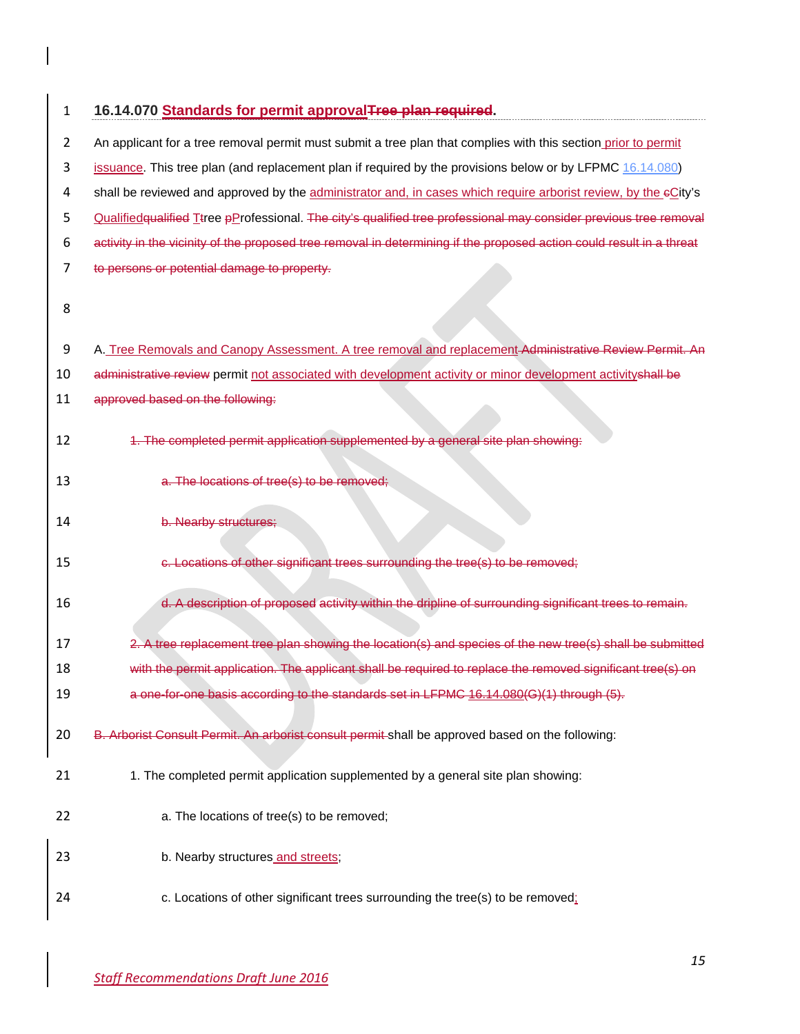| 1              | 16.14.070 Standards for permit approvalTree plan required.                                                           |
|----------------|----------------------------------------------------------------------------------------------------------------------|
| $\overline{2}$ | An applicant for a tree removal permit must submit a tree plan that complies with this section prior to permit       |
| 3              | issuance. This tree plan (and replacement plan if required by the provisions below or by LFPMC 16.14.080)            |
| 4              | shall be reviewed and approved by the administrator and, in cases which require arborist review, by the eCity's      |
| 5              | Qualified qualified Ttree pProfessional. The city's qualified tree professional may consider previous tree removal   |
| 6              | activity in the vicinity of the proposed tree removal in determining if the proposed action could result in a threat |
| 7              | to persons or potential damage to property.                                                                          |
| 8              |                                                                                                                      |
| 9              | A. Tree Removals and Canopy Assessment. A tree removal and replacement-Administrative Review Permit. An              |
| 10             | administrative review permit not associated with development activity or minor development activityshall be          |
| 11             | approved based on the following:                                                                                     |
| 12             | 1. The completed permit application supplemented by a general site plan showing:                                     |
| 13             | a. The locations of tree(s) to be removed;                                                                           |
| 14             | b. Nearby structures;                                                                                                |
| 15             | c. Locations of other significant trees surrounding the tree(s) to be removed;                                       |
| 16             | d. A description of proposed activity within the dripline of surrounding significant trees to remain.                |
| 17             | 2. A tree replacement tree plan showing the location(s) and species of the new tree(s) shall be submitted            |
| 18             | with the permit application. The applicant shall be required to replace the removed significant tree(s) on           |
| 19             | a one-for-one basis according to the standards set in LFPMC 16.14.080(G)(1) through (5).                             |
| 20             | B. Arborist Consult Permit. An arborist consult permit shall be approved based on the following:                     |
| 21             | 1. The completed permit application supplemented by a general site plan showing:                                     |
| 22             | a. The locations of tree(s) to be removed;                                                                           |
| 23             | b. Nearby structures and streets;                                                                                    |
| 24             | c. Locations of other significant trees surrounding the tree(s) to be removed:                                       |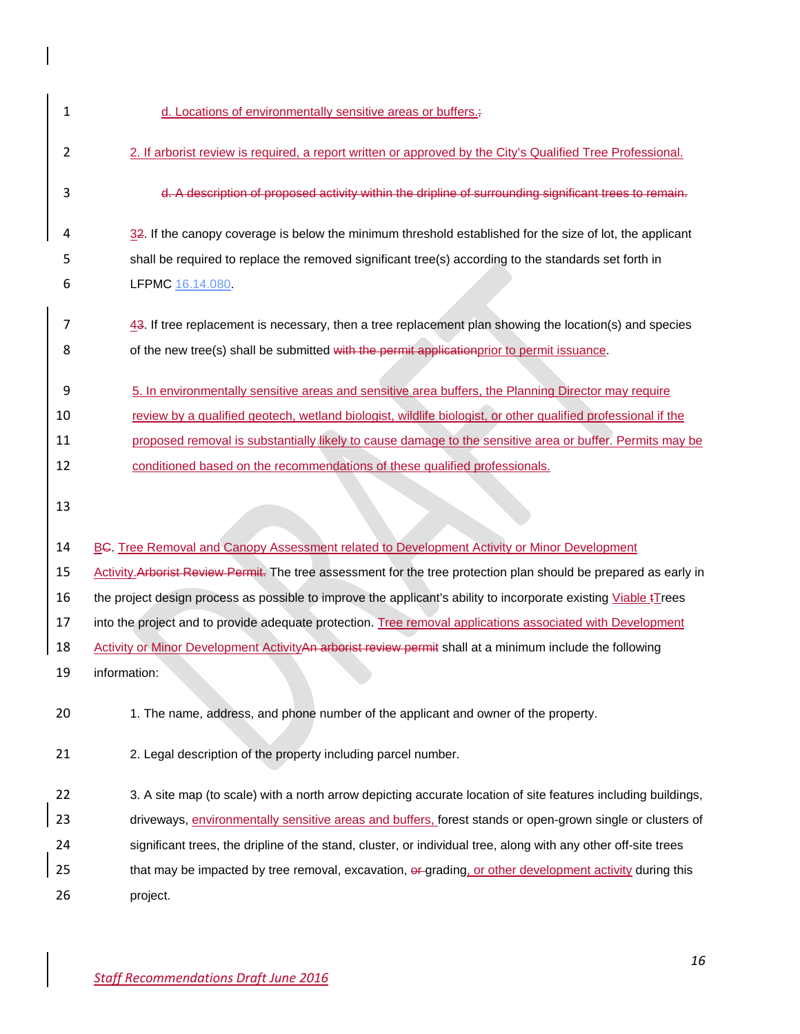| 1              | d. Locations of environmentally sensitive areas or buffers.;                                                           |
|----------------|------------------------------------------------------------------------------------------------------------------------|
| $\overline{2}$ | 2. If arborist review is required, a report written or approved by the City's Qualified Tree Professional.             |
| 3              | d. A description of proposed activity within the dripline of surrounding significant trees to remain.                  |
| 4              | $32$ . If the canopy coverage is below the minimum threshold established for the size of lot, the applicant            |
| 5              | shall be required to replace the removed significant tree(s) according to the standards set forth in                   |
| 6              | LFPMC 16.14.080                                                                                                        |
| 7              | $43$ . If tree replacement is necessary, then a tree replacement plan showing the location(s) and species              |
| 8              | of the new tree(s) shall be submitted with the permit applicationprior to permit issuance.                             |
| 9              | 5. In environmentally sensitive areas and sensitive area buffers, the Planning Director may require                    |
| 10             | review by a qualified geotech, wetland biologist, wildlife biologist, or other qualified professional if the           |
| 11             | proposed removal is substantially likely to cause damage to the sensitive area or buffer. Permits may be               |
| 12             | conditioned based on the recommendations of these qualified professionals.                                             |
| 13             |                                                                                                                        |
| 14             | BC. Tree Removal and Canopy Assessment related to Development Activity or Minor Development                            |
| 15             | Activity Arborist Review Permit. The tree assessment for the tree protection plan should be prepared as early in       |
| 16             | the project design process as possible to improve the applicant's ability to incorporate existing Viable <i>ITrees</i> |
| 17             | into the project and to provide adequate protection. Tree removal applications associated with Development             |
| 18             | Activity or Minor Development ActivityAn arborist review permit shall at a minimum include the following               |
| 19             | information:                                                                                                           |
| 20             | 1. The name, address, and phone number of the applicant and owner of the property.                                     |
| 21             | 2. Legal description of the property including parcel number.                                                          |
| 22             | 3. A site map (to scale) with a north arrow depicting accurate location of site features including buildings,          |
| 23             | driveways, environmentally sensitive areas and buffers, forest stands or open-grown single or clusters of              |
| 24             | significant trees, the dripline of the stand, cluster, or individual tree, along with any other off-site trees         |
| 25             | that may be impacted by tree removal, excavation, or grading, or other development activity during this                |
| 26             | project.                                                                                                               |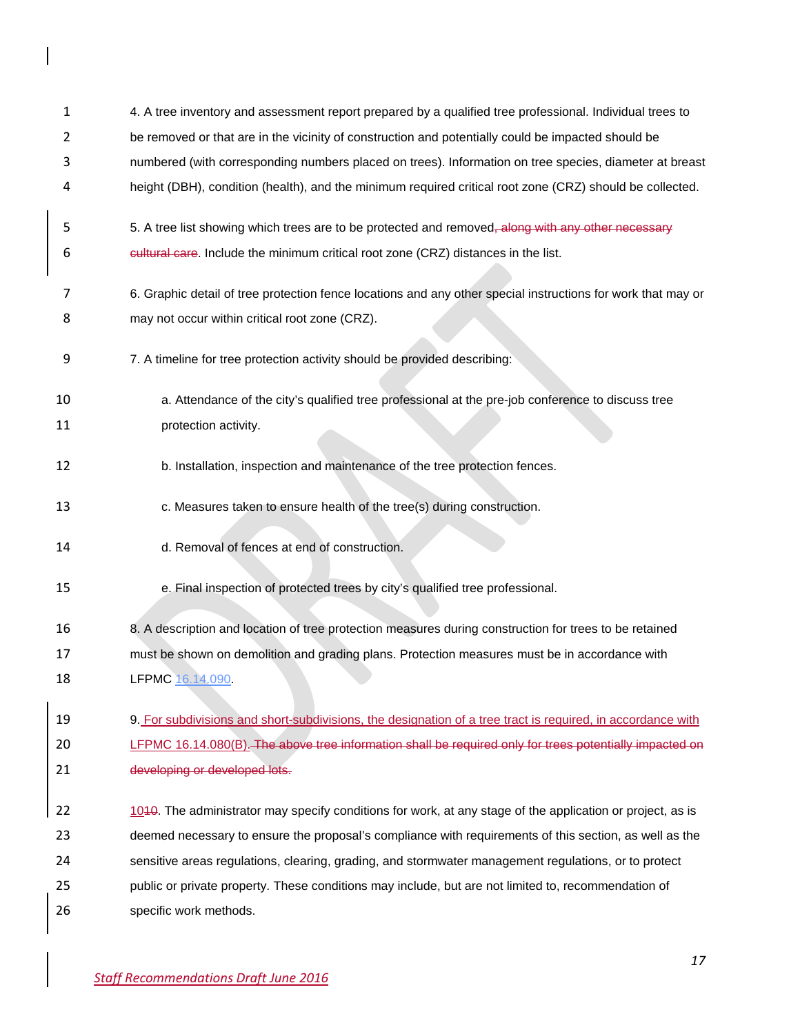| 1  | 4. A tree inventory and assessment report prepared by a qualified tree professional. Individual trees to       |
|----|----------------------------------------------------------------------------------------------------------------|
| 2  | be removed or that are in the vicinity of construction and potentially could be impacted should be             |
| 3  | numbered (with corresponding numbers placed on trees). Information on tree species, diameter at breast         |
| 4  | height (DBH), condition (health), and the minimum required critical root zone (CRZ) should be collected.       |
| 5  | 5. A tree list showing which trees are to be protected and removed <del>, along with any other necessary</del> |
| 6  | cultural care. Include the minimum critical root zone (CRZ) distances in the list.                             |
| 7  | 6. Graphic detail of tree protection fence locations and any other special instructions for work that may or   |
| 8  | may not occur within critical root zone (CRZ).                                                                 |
| 9  | 7. A timeline for tree protection activity should be provided describing:                                      |
| 10 | a. Attendance of the city's qualified tree professional at the pre-job conference to discuss tree              |
| 11 | protection activity.                                                                                           |
| 12 | b. Installation, inspection and maintenance of the tree protection fences.                                     |
| 13 | c. Measures taken to ensure health of the tree(s) during construction.                                         |
| 14 | d. Removal of fences at end of construction.                                                                   |
| 15 | e. Final inspection of protected trees by city's qualified tree professional.                                  |
| 16 | 8. A description and location of tree protection measures during construction for trees to be retained         |
| 17 | must be shown on demolition and grading plans. Protection measures must be in accordance with                  |
| 18 | LFPMC 16.14.090                                                                                                |
| 19 | 9. For subdivisions and short-subdivisions, the designation of a tree tract is required, in accordance with    |
| 20 | LFPMC 16.14.080(B). The above tree information shall be required only for trees potentially impacted on        |
| 21 | developing or developed lots.                                                                                  |
| 22 | 1040. The administrator may specify conditions for work, at any stage of the application or project, as is     |
| 23 | deemed necessary to ensure the proposal's compliance with requirements of this section, as well as the         |
| 24 | sensitive areas regulations, clearing, grading, and stormwater management regulations, or to protect           |
| 25 | public or private property. These conditions may include, but are not limited to, recommendation of            |
| 26 | specific work methods.                                                                                         |

 $\overline{\phantom{a}}$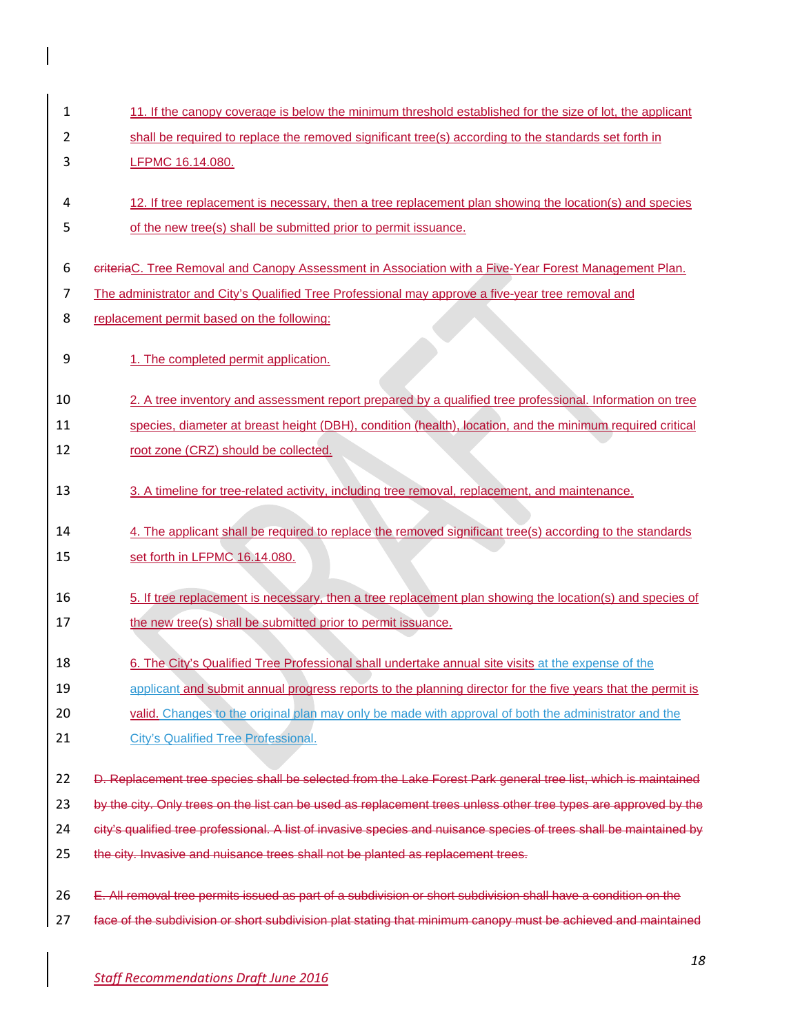| 1  | 11. If the canopy coverage is below the minimum threshold established for the size of lot, the applicant            |
|----|---------------------------------------------------------------------------------------------------------------------|
| 2  | shall be required to replace the removed significant tree(s) according to the standards set forth in                |
| 3  | LFPMC 16.14.080.                                                                                                    |
|    |                                                                                                                     |
| 4  | 12. If tree replacement is necessary, then a tree replacement plan showing the location(s) and species              |
| 5  | of the new tree(s) shall be submitted prior to permit issuance.                                                     |
| 6  | criteriaC. Tree Removal and Canopy Assessment in Association with a Five-Year Forest Management Plan.               |
| 7  | The administrator and City's Qualified Tree Professional may approve a five-year tree removal and                   |
| 8  | replacement permit based on the following:                                                                          |
| 9  | 1. The completed permit application.                                                                                |
| 10 | 2. A tree inventory and assessment report prepared by a qualified tree professional. Information on tree            |
| 11 | species, diameter at breast height (DBH), condition (health), location, and the minimum required critical           |
| 12 | root zone (CRZ) should be collected.                                                                                |
| 13 | 3. A timeline for tree-related activity, including tree removal, replacement, and maintenance.                      |
| 14 | 4. The applicant shall be required to replace the removed significant tree(s) according to the standards            |
| 15 | set forth in LFPMC 16.14.080.                                                                                       |
|    |                                                                                                                     |
| 16 | 5. If tree replacement is necessary, then a tree replacement plan showing the location(s) and species of            |
| 17 | the new tree(s) shall be submitted prior to permit issuance.                                                        |
| 18 | 6. The City's Qualified Tree Professional shall undertake annual site visits at the expense of the                  |
| 19 | applicant and submit annual progress reports to the planning director for the five years that the permit is         |
| 20 | valid. Changes to the original plan may only be made with approval of both the administrator and the                |
| 21 | <b>City's Qualified Tree Professional.</b>                                                                          |
|    |                                                                                                                     |
| 22 | D. Replacement tree species shall be selected from the Lake Forest Park general tree list, which is maintained      |
| 23 | by the city. Only trees on the list can be used as replacement trees unless other tree types are approved by the    |
| 24 | city's qualified tree professional. A list of invasive species and nuisance species of trees shall be maintained by |
| 25 | the city. Invasive and nuisance trees shall not be planted as replacement trees.                                    |
| 26 | E. All removal tree permits issued as part of a subdivision or short subdivision shall have a condition on the      |
| 27 | face of the subdivision or short subdivision plat stating that minimum canopy must be achieved and maintained       |
|    |                                                                                                                     |
|    | 10                                                                                                                  |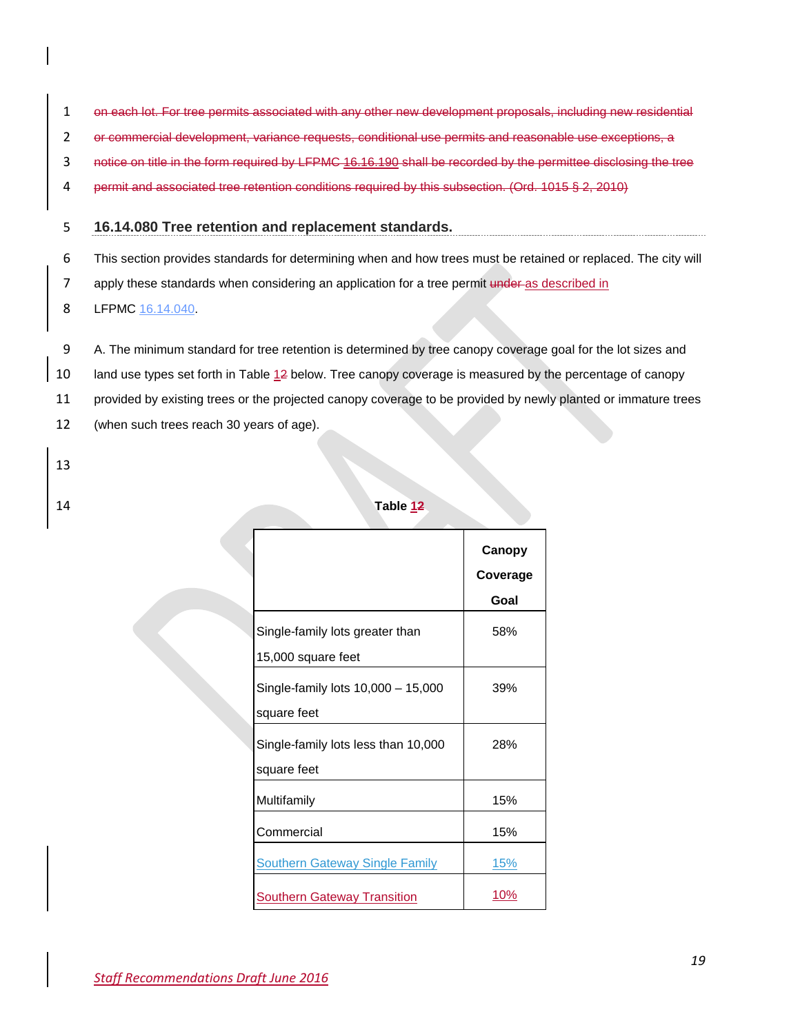- 1 on each lot. For tree permits associated with any other new development proposals, including new residential
- 2 or commercial development, variance requests, conditional use permits and reasonable use exceptions, a
- 3 notice on title in the form required by LFPMC 16.16.190 shall be recorded by the permittee disclosing the tree
- 4 permit and associated tree retention conditions required by this subsection. (Ord. 1015 § 2, 2010)

#### 5 **16.14.080 Tree retention and replacement standards.**

6 This section provides standards for determining when and how trees must be retained or replaced. The city will

7 apply these standards when considering an application for a tree permit under as described in

8 LFPMC [16.14.040.](http://www.codepublishing.com/WA/LakeForestPark/html/LakeForestPark16/LakeForestPark1614.html#16.14.040)

9 A. The minimum standard for tree retention is determined by tree canopy coverage goal for the lot sizes and

10 land use types set forth in Table 12 below. Tree canopy coverage is measured by the percentage of canopy

11 provided by existing trees or the projected canopy coverage to be provided by newly planted or immature trees

- 12 (when such trees reach 30 years of age).
- 13
- 

# 14 **Table 12**

|                                                       | Canopy<br>Coverage<br>Goal |
|-------------------------------------------------------|----------------------------|
| Single-family lots greater than<br>15,000 square feet | 58%                        |
| Single-family lots 10,000 - 15,000<br>square feet     | 39%                        |
| Single-family lots less than 10,000<br>square feet    | 28%                        |
| Multifamily                                           | 15%                        |
| Commercial                                            | 15%                        |
| <b>Southern Gateway Single Family</b>                 | <u> 15%</u>                |
| <b>Southern Gateway Transition</b>                    | 10%                        |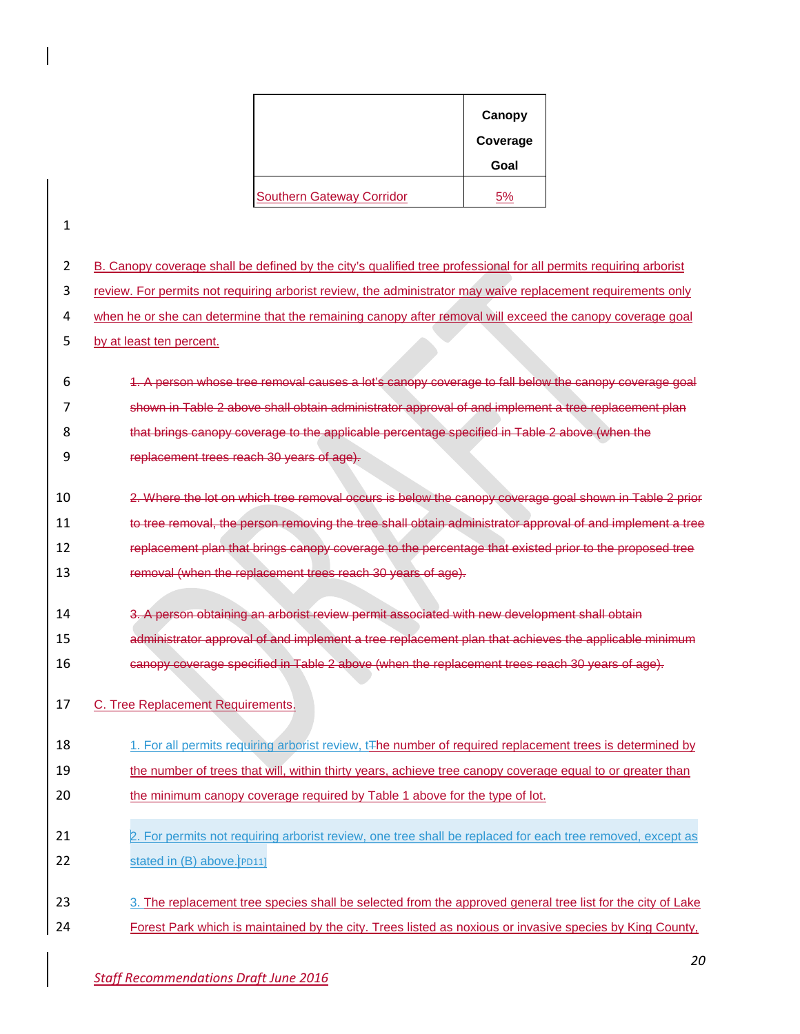|                                  | Canopy   |
|----------------------------------|----------|
|                                  | Coverage |
|                                  | Goal     |
| <b>Southern Gateway Corridor</b> | 5%       |

1

2 B. Canopy coverage shall be defined by the city's qualified tree professional for all permits requiring arborist

3 review. For permits not requiring arborist review, the administrator may waive replacement requirements only

4 when he or she can determine that the remaining canopy after removal will exceed the canopy coverage goal

5 by at least ten percent.

 1. A person whose tree removal causes a lot's canopy coverage to fall below the canopy coverage goal 7 shown in Table 2 above shall obtain administrator approval of and implement a tree replacement plan that brings canopy coverage to the applicable percentage specified in Table 2 above (when the replacement trees reach 30 years of age).

- 10 2. Where the lot on which tree removal occurs is below the canopy coverage goal shown in Table 2 prior 11 to tree removal, the person removing the tree shall obtain administrator approval of and implement a tree 12 replacement plan that brings canopy coverage to the percentage that existed prior to the proposed tree
- 13 removal (when the replacement trees reach 30 years of age).
- 14 3. A person obtaining an arborist review permit associated with new development shall obtain
- 15 administrator approval of and implement a tree replacement plan that achieves the applicable minimum
- 16 canopy coverage specified in Table 2 above (when the replacement trees reach 30 years of age).
- 17 C. Tree Replacement Requirements.
- 18 18 1. For all permits requiring arborist review, t<sub>The number</sub> of required replacement trees is determined by
- 19 the number of trees that will, within thirty years, achieve tree canopy coverage equal to or greater than
- 20 the minimum canopy coverage required by Table 1 above for the type of lot.
- 21 2. For permits not requiring arborist review, one tree shall be replaced for each tree removed, except as 22 stated in  $(B)$  above.  $[PD11]$
- 23 3. The replacement tree species shall be selected from the approved general tree list for the city of Lake
- 24 Forest Park which is maintained by the city. Trees listed as noxious or invasive species by King County,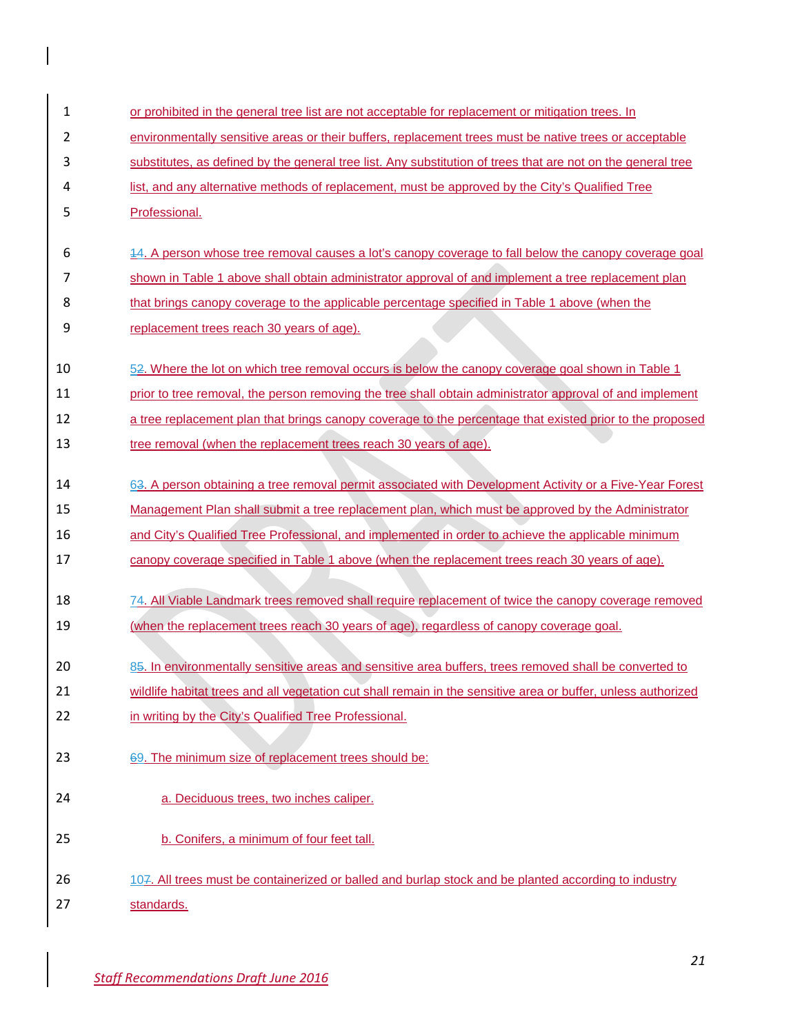| 1  | or prohibited in the general tree list are not acceptable for replacement or mitigation trees. In             |
|----|---------------------------------------------------------------------------------------------------------------|
| 2  | environmentally sensitive areas or their buffers, replacement trees must be native trees or acceptable        |
| 3  | substitutes, as defined by the general tree list. Any substitution of trees that are not on the general tree  |
| 4  | list, and any alternative methods of replacement, must be approved by the City's Qualified Tree               |
| 5  | Professional.                                                                                                 |
|    |                                                                                                               |
| 6  | 14. A person whose tree removal causes a lot's canopy coverage to fall below the canopy coverage goal         |
| 7  | shown in Table 1 above shall obtain administrator approval of and implement a tree replacement plan           |
| 8  | that brings canopy coverage to the applicable percentage specified in Table 1 above (when the                 |
| 9  | replacement trees reach 30 years of age).                                                                     |
| 10 | 52. Where the lot on which tree removal occurs is below the canopy coverage goal shown in Table 1             |
| 11 | prior to tree removal, the person removing the tree shall obtain administrator approval of and implement      |
| 12 | a tree replacement plan that brings canopy coverage to the percentage that existed prior to the proposed      |
|    |                                                                                                               |
| 13 | tree removal (when the replacement trees reach 30 years of age).                                              |
| 14 | 63. A person obtaining a tree removal permit associated with Development Activity or a Five-Year Forest       |
| 15 | Management Plan shall submit a tree replacement plan, which must be approved by the Administrator             |
| 16 | and City's Qualified Tree Professional, and implemented in order to achieve the applicable minimum            |
| 17 | canopy coverage specified in Table 1 above (when the replacement trees reach 30 years of age).                |
|    |                                                                                                               |
| 18 | 74. All Viable Landmark trees removed shall require replacement of twice the canopy coverage removed          |
| 19 | (when the replacement trees reach 30 years of age), regardless of canopy coverage goal.                       |
| 20 | 85. In environmentally sensitive areas and sensitive area buffers, trees removed shall be converted to        |
| 21 | wildlife habitat trees and all vegetation cut shall remain in the sensitive area or buffer, unless authorized |
| 22 | in writing by the City's Qualified Tree Professional.                                                         |
|    |                                                                                                               |
| 23 | 69. The minimum size of replacement trees should be:                                                          |
|    |                                                                                                               |
| 24 | a. Deciduous trees, two inches caliper.                                                                       |
| 25 | b. Conifers, a minimum of four feet tall.                                                                     |
|    |                                                                                                               |
| 26 | 107. All trees must be containerized or balled and burlap stock and be planted according to industry          |
| 27 | standards.                                                                                                    |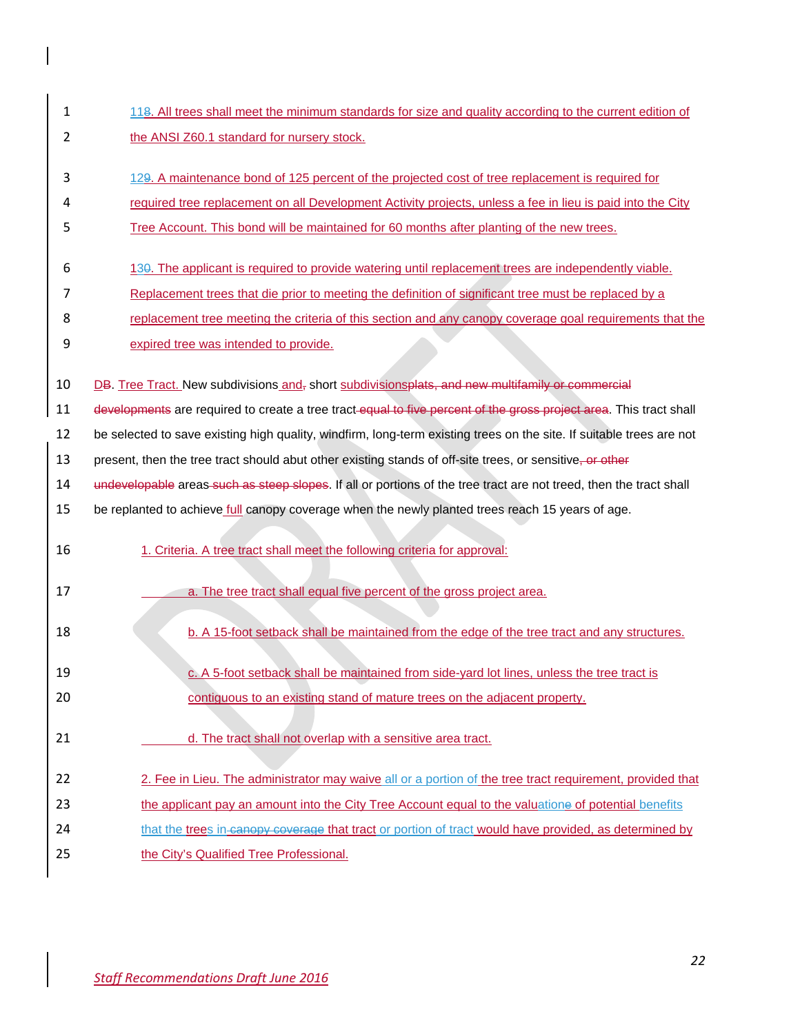- 1 118. All trees shall meet the minimum standards for size and quality according to the current edition of 2 the ANSI Z60.1 standard for nursery stock.
- 3 129. A maintenance bond of 125 percent of the projected cost of tree replacement is required for
- 4 required tree replacement on all Development Activity projects, unless a fee in lieu is paid into the City
- 5 Tree Account. This bond will be maintained for 60 months after planting of the new trees.
- 6 130. The applicant is required to provide watering until replacement trees are independently viable.
- 7 Replacement trees that die prior to meeting the definition of significant tree must be replaced by a
- 8 replacement tree meeting the criteria of this section and any canopy coverage goal requirements that the
- 9 expired tree was intended to provide.
- 10 DB. Tree Tract. New subdivisions and, short subdivisionsplats, and new multifamily or commercial
- 11 developments are required to create a tree tract-equal to five percent of the gross project area. This tract shall
- 12 be selected to save existing high quality, windfirm, long-term existing trees on the site. If suitable trees are not
- 13 present, then the tree tract should abut other existing stands of off-site trees, or sensitive, or other
- 14 undevelopable areas such as steep slopes. If all or portions of the tree tract are not treed, then the tract shall
- 15 be replanted to achieve *full canopy coverage when the newly planted trees reach* 15 years of age.
- 16 1. Criteria. A tree tract shall meet the following criteria for approval:
- 17 **a.** The tree tract shall equal five percent of the gross project area.
- 18 b. A 15-foot setback shall be maintained from the edge of the tree tract and any structures.
- 19 c. A 5-foot setback shall be maintained from side-yard lot lines, unless the tree tract is
- 20 contiguous to an existing stand of mature trees on the adjacent property.
- 21 d. The tract shall not overlap with a sensitive area tract.
- 22 2. Fee in Lieu. The administrator may waive all or a portion of the tree tract requirement, provided that
- 23 the applicant pay an amount into the City Tree Account equal to the valuatione of potential benefits
- 24 that the trees in canopy coverage that tract or portion of tract would have provided, as determined by
- 25 the City's Qualified Tree Professional.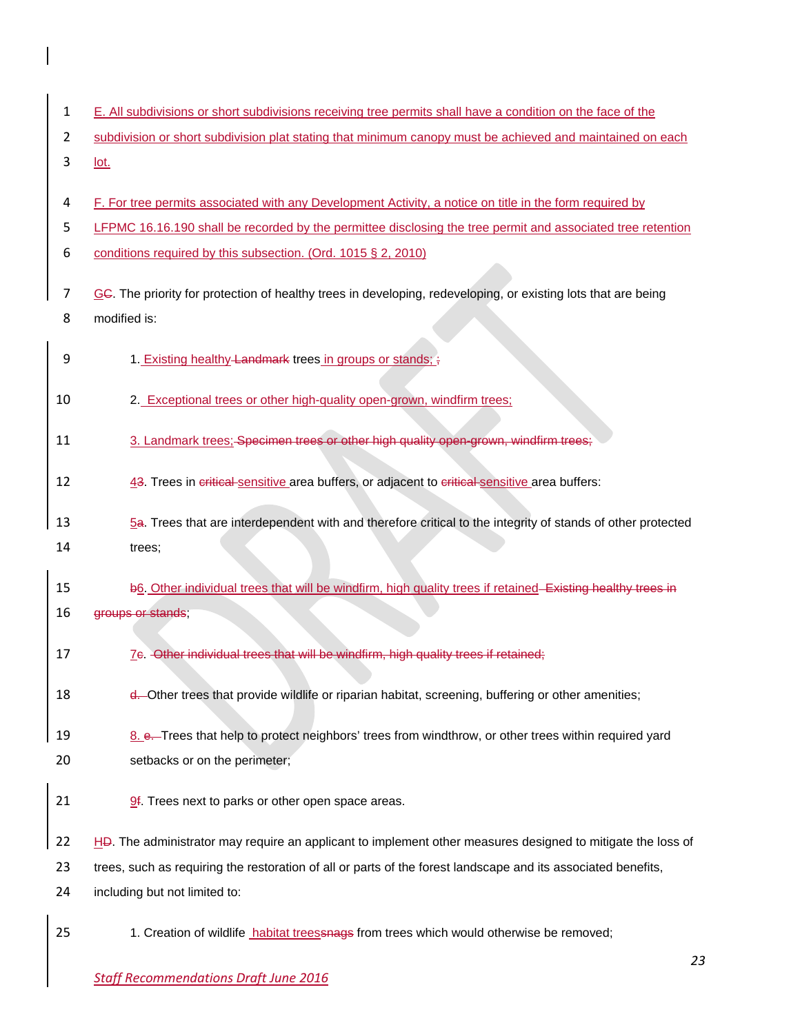- 1 E. All subdivisions or short subdivisions receiving tree permits shall have a condition on the face of the
- 2 subdivision or short subdivision plat stating that minimum canopy must be achieved and maintained on each
- 3 lot.
- 4 F. For tree permits associated with any Development Activity, a notice on title in the form required by
- 5 LFPMC [16.16.190](http://www.codepublishing.com/WA/LakeForestPark/html/LakeForestPark16/LakeForestPark1616.html#16.16.190) shall be recorded by the permittee disclosing the tree permit and associated tree retention
- 6 conditions required by this subsection. (Ord. 1015 § 2, 2010)
- 7 GC. The priority for protection of healthy trees in developing, redeveloping, or existing lots that are being 8 modified is:
- 9 1. Existing healthy Landmark trees in groups or stands;  $\frac{1}{2}$
- 10 2. Exceptional trees or other high-quality open-grown, windfirm trees;
- 11 3. Landmark trees; Specimen trees or other high quality open-grown, windfirm trees;
- 12 43. Trees in critical sensitive area buffers, or adjacent to critical sensitive area buffers:
- 13 5a. Trees that are interdependent with and therefore critical to the integrity of stands of other protected 14 trees;
- 15 b6. Other individual trees that will be windfirm, high quality trees if retained Existing healthy trees in 16 groups or stands;
- 17 7c. Other individual trees that will be windfirm, high quality trees if retained;
- 18 d. Other trees that provide wildlife or riparian habitat, screening, buffering or other amenities;
- 19 8. e. Trees that help to protect neighbors' trees from windthrow, or other trees within required yard 20 setbacks or on the perimeter;
- 21  $\frac{9}{1}$ . Trees next to parks or other open space areas.
- 22 HD. The administrator may require an applicant to implement other measures designed to mitigate the loss of
- 23 trees, such as requiring the restoration of all or parts of the forest landscape and its associated benefits,
- 24 including but not limited to:
- 
- 25 1. Creation of wildlife habitat treessnags from trees which would otherwise be removed;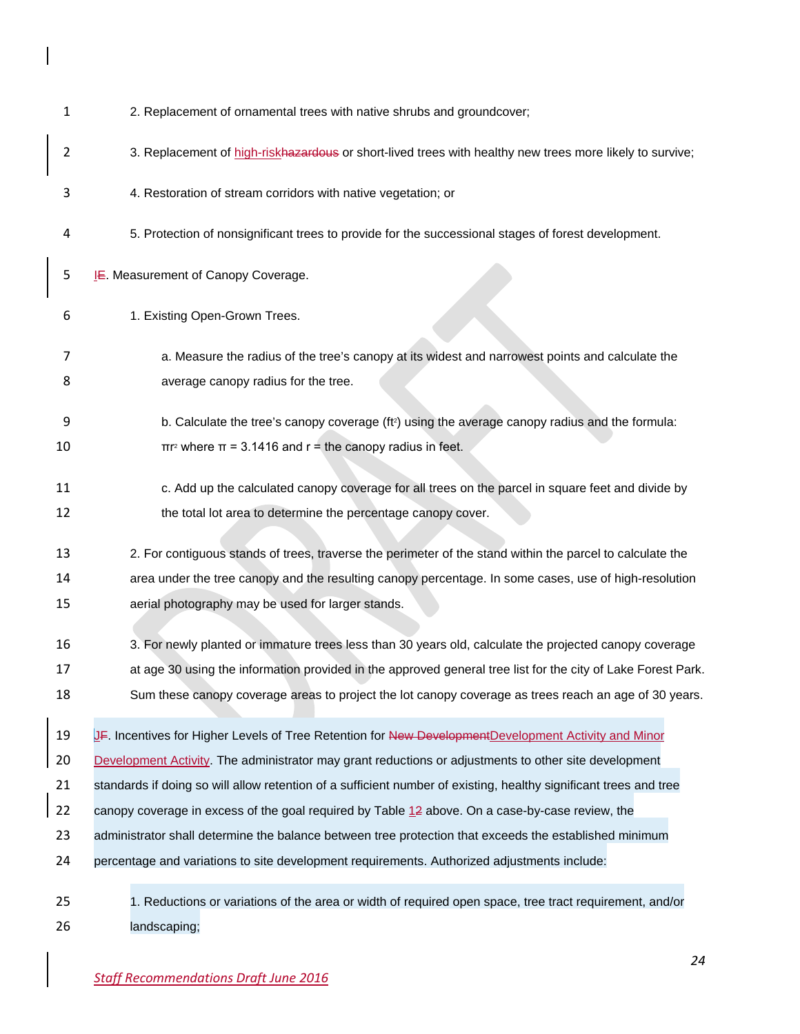| 1        | 2. Replacement of ornamental trees with native shrubs and groundcover;                                                                                                             |
|----------|------------------------------------------------------------------------------------------------------------------------------------------------------------------------------------|
| 2        | 3. Replacement of high-riskhazardous or short-lived trees with healthy new trees more likely to survive;                                                                           |
| 3        | 4. Restoration of stream corridors with native vegetation; or                                                                                                                      |
| 4        | 5. Protection of nonsignificant trees to provide for the successional stages of forest development.                                                                                |
| 5        | LE. Measurement of Canopy Coverage.                                                                                                                                                |
| 6        | 1. Existing Open-Grown Trees.                                                                                                                                                      |
| 7<br>8   | a. Measure the radius of the tree's canopy at its widest and narrowest points and calculate the<br>average canopy radius for the tree.                                             |
| 9<br>10  | b. Calculate the tree's canopy coverage (ft <sup>2</sup> ) using the average canopy radius and the formula:<br>$\pi r^2$ where $\pi = 3.1416$ and $r =$ the canopy radius in feet. |
| 11<br>12 | c. Add up the calculated canopy coverage for all trees on the parcel in square feet and divide by<br>the total lot area to determine the percentage canopy cover.                  |
| 13       | 2. For contiguous stands of trees, traverse the perimeter of the stand within the parcel to calculate the                                                                          |
| 14       | area under the tree canopy and the resulting canopy percentage. In some cases, use of high-resolution                                                                              |
| 15       | aerial photography may be used for larger stands.                                                                                                                                  |
| 16       | 3. For newly planted or immature trees less than 30 years old, calculate the projected canopy coverage                                                                             |
| 17       | at age 30 using the information provided in the approved general tree list for the city of Lake Forest Park.                                                                       |
| 18       | Sum these canopy coverage areas to project the lot canopy coverage as trees reach an age of 30 years.                                                                              |
| 19       | JF. Incentives for Higher Levels of Tree Retention for New Development Development Activity and Minor                                                                              |
| 20       | Development Activity. The administrator may grant reductions or adjustments to other site development                                                                              |
| 21       | standards if doing so will allow retention of a sufficient number of existing, healthy significant trees and tree                                                                  |
| 22       | canopy coverage in excess of the goal required by Table $12$ above. On a case-by-case review, the                                                                                  |
| 23       | administrator shall determine the balance between tree protection that exceeds the established minimum                                                                             |
| 24       | percentage and variations to site development requirements. Authorized adjustments include:                                                                                        |
| 25<br>26 | 1. Reductions or variations of the area or width of required open space, tree tract requirement, and/or<br>landscaping;                                                            |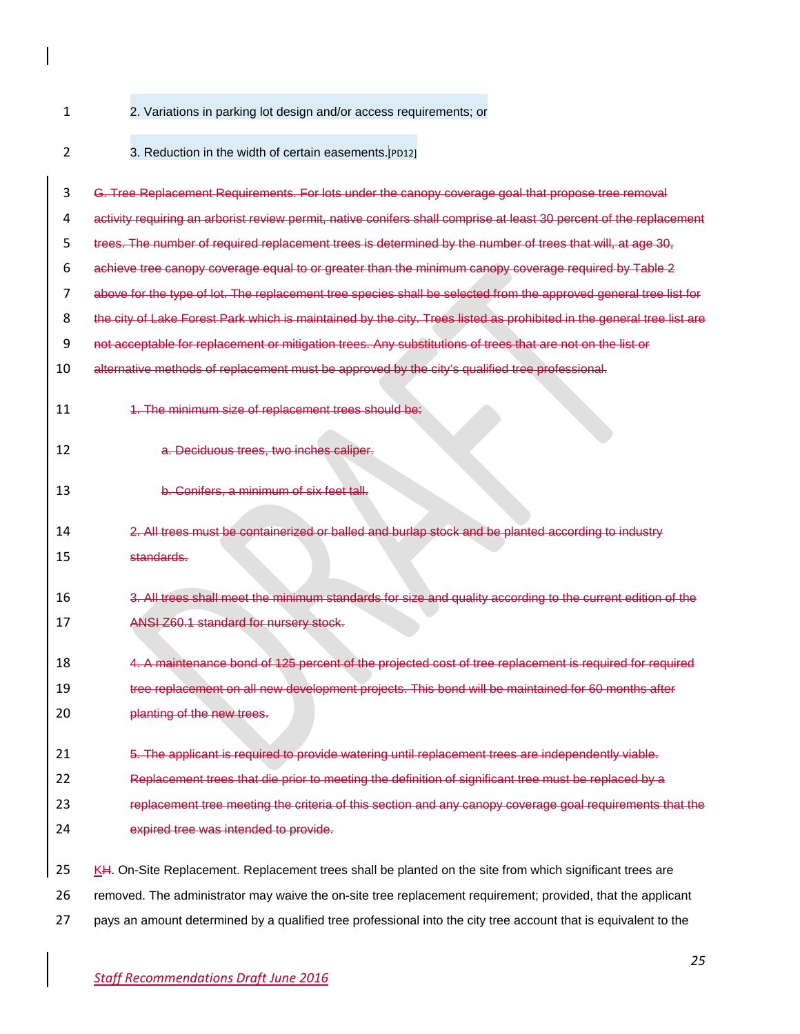- 
- 2. Variations in parking lot design and/or access requirements; or
- 

3. Reduction in the width of certain easements.[PD12]

- G. Tree Replacement Requirements. For lots under the canopy coverage goal that propose tree removal
- activity requiring an arborist review permit, native conifers shall comprise at least 30 percent of the replacement
- trees. The number of required replacement trees is determined by the number of trees that will, at age 30,
- achieve tree canopy coverage equal to or greater than the minimum canopy coverage required by Table 2
- above for the type of lot. The replacement tree species shall be selected from the approved general tree list for
- 8 the city of Lake Forest Park which is maintained by the city. Trees listed as prohibited in the general tree list are
- 9 not acceptable for replacement or mitigation trees. Any substitutions of trees that are not on the list or
- alternative methods of replacement must be approved by the city's qualified tree professional.
- 
- 11 1. The minimum size of replacement trees should be:
- a. Deciduous trees, two inches caliper.
- b. Conifers, a minimum of six feet tall.
- 2. All trees must be containerized or balled and burlap stock and be planted according to industry standards.
- 3. All trees shall meet the minimum standards for size and quality according to the current edition of the ANSI Z60.1 standard for nursery stock.
- 4. A maintenance bond of 125 percent of the projected cost of tree replacement is required for required tree replacement on all new development projects. This bond will be maintained for 60 months after
- **planting of the new trees.**
- 5. The applicant is required to provide watering until replacement trees are independently viable.
- Replacement trees that die prior to meeting the definition of significant tree must be replaced by a
- replacement tree meeting the criteria of this section and any canopy coverage goal requirements that the
- expired tree was intended to provide.
- 25 KH. On-Site Replacement. Replacement trees shall be planted on the site from which significant trees are
- removed. The administrator may waive the on-site tree replacement requirement; provided, that the applicant
- pays an amount determined by a qualified tree professional into the city tree account that is equivalent to the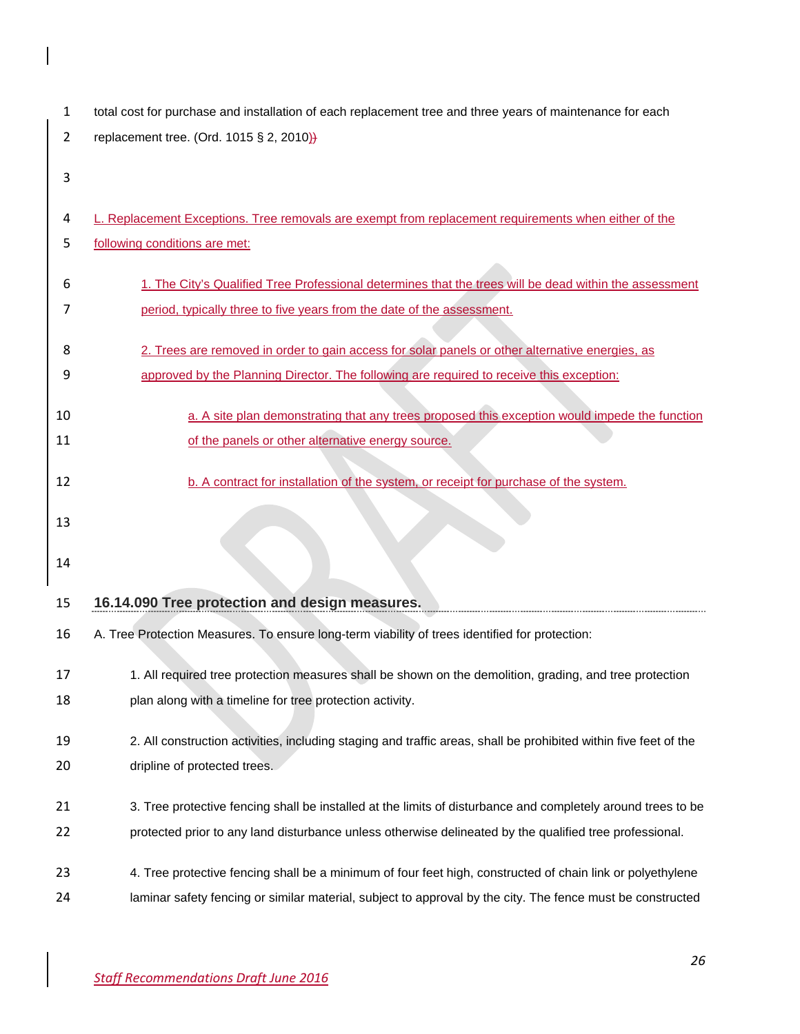| 1  | total cost for purchase and installation of each replacement tree and three years of maintenance for each        |
|----|------------------------------------------------------------------------------------------------------------------|
| 2  | replacement tree. (Ord. 1015 § 2, 2010)}                                                                         |
| 3  |                                                                                                                  |
|    |                                                                                                                  |
| 4  | L. Replacement Exceptions. Tree removals are exempt from replacement requirements when either of the             |
| 5  | following conditions are met:                                                                                    |
| 6  | 1. The City's Qualified Tree Professional determines that the trees will be dead within the assessment           |
| 7  | period, typically three to five years from the date of the assessment.                                           |
|    |                                                                                                                  |
| 8  | 2. Trees are removed in order to gain access for solar panels or other alternative energies, as                  |
| 9  | approved by the Planning Director. The following are required to receive this exception:                         |
|    |                                                                                                                  |
| 10 | a. A site plan demonstrating that any trees proposed this exception would impede the function                    |
| 11 | of the panels or other alternative energy source.                                                                |
| 12 | b. A contract for installation of the system, or receipt for purchase of the system.                             |
|    |                                                                                                                  |
|    |                                                                                                                  |
| 13 |                                                                                                                  |
| 14 |                                                                                                                  |
|    |                                                                                                                  |
| 15 | 16.14.090 Tree protection and design measures.                                                                   |
| 16 | A. Tree Protection Measures. To ensure long-term viability of trees identified for protection:                   |
| 17 | 1. All required tree protection measures shall be shown on the demolition, grading, and tree protection          |
| 18 | plan along with a timeline for tree protection activity.                                                         |
| 19 | 2. All construction activities, including staging and traffic areas, shall be prohibited within five feet of the |
| 20 | dripline of protected trees.                                                                                     |
| 21 | 3. Tree protective fencing shall be installed at the limits of disturbance and completely around trees to be     |
| 22 | protected prior to any land disturbance unless otherwise delineated by the qualified tree professional.          |
| 23 | 4. Tree protective fencing shall be a minimum of four feet high, constructed of chain link or polyethylene       |

 $\overline{\phantom{a}}$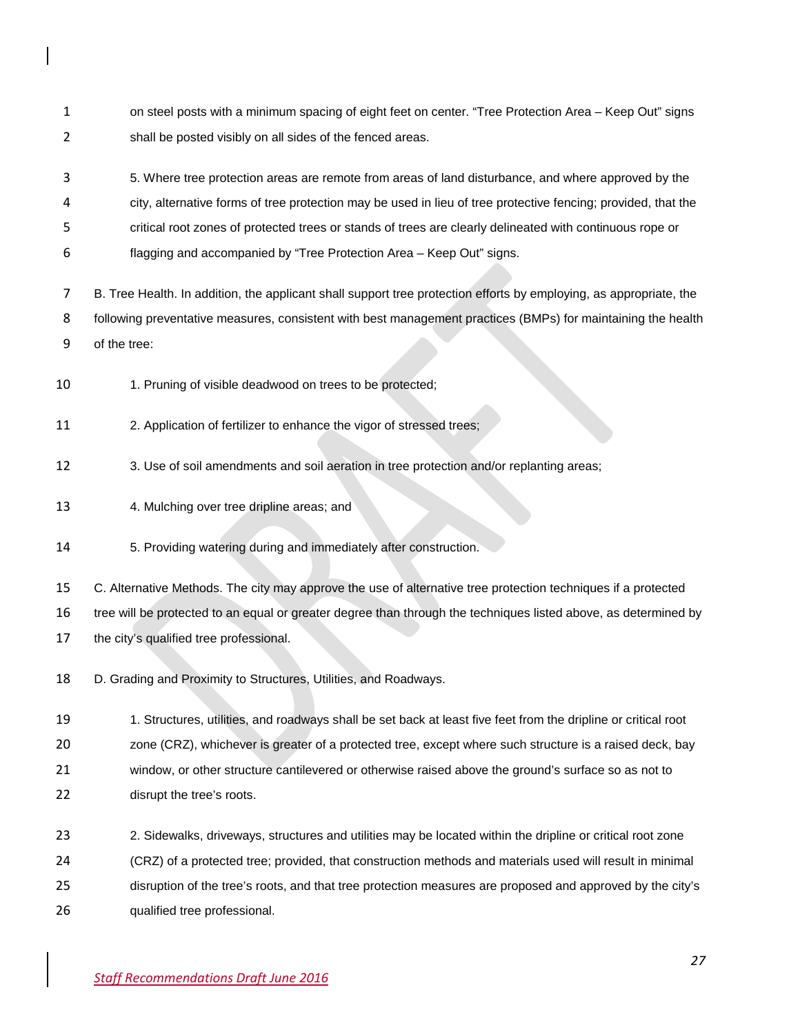- 1 on steel posts with a minimum spacing of eight feet on center. "Tree Protection Area Keep Out" signs shall be posted visibly on all sides of the fenced areas.
- 5. Where tree protection areas are remote from areas of land disturbance, and where approved by the
- city, alternative forms of tree protection may be used in lieu of tree protective fencing; provided, that the
- critical root zones of protected trees or stands of trees are clearly delineated with continuous rope or
- flagging and accompanied by "Tree Protection Area Keep Out" signs.
- B. Tree Health. In addition, the applicant shall support tree protection efforts by employing, as appropriate, the following preventative measures, consistent with best management practices (BMPs) for maintaining the health of the tree:
- 10 1. Pruning of visible deadwood on trees to be protected;
- 2. Application of fertilizer to enhance the vigor of stressed trees;
- 3. Use of soil amendments and soil aeration in tree protection and/or replanting areas;
- 4. Mulching over tree dripline areas; and
- 5. Providing watering during and immediately after construction.

 C. Alternative Methods. The city may approve the use of alternative tree protection techniques if a protected tree will be protected to an equal or greater degree than through the techniques listed above, as determined by the city's qualified tree professional.

- D. Grading and Proximity to Structures, Utilities, and Roadways.
- 1. Structures, utilities, and roadways shall be set back at least five feet from the dripline or critical root zone (CRZ), whichever is greater of a protected tree, except where such structure is a raised deck, bay window, or other structure cantilevered or otherwise raised above the ground's surface so as not to disrupt the tree's roots.
- 2. Sidewalks, driveways, structures and utilities may be located within the dripline or critical root zone
- (CRZ) of a protected tree; provided, that construction methods and materials used will result in minimal
- disruption of the tree's roots, and that tree protection measures are proposed and approved by the city's
- qualified tree professional.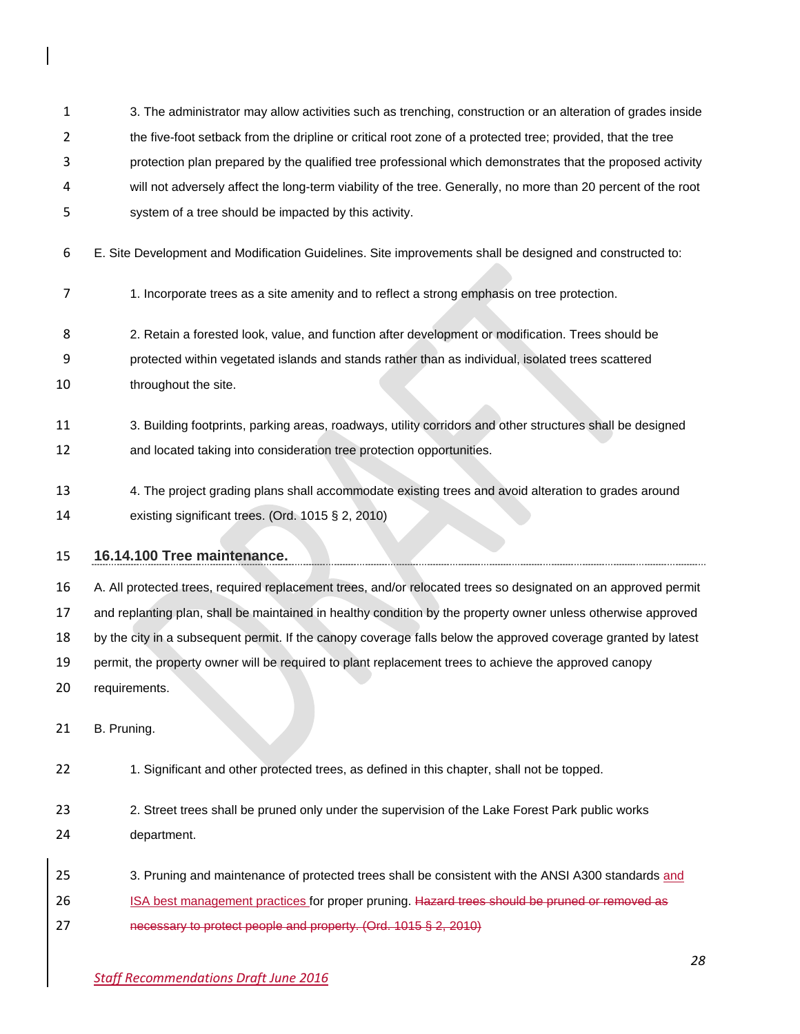3. The administrator may allow activities such as trenching, construction or an alteration of grades inside

- 2 the five-foot setback from the dripline or critical root zone of a protected tree; provided, that the tree
- protection plan prepared by the qualified tree professional which demonstrates that the proposed activity
- will not adversely affect the long-term viability of the tree. Generally, no more than 20 percent of the root
- system of a tree should be impacted by this activity.
- E. Site Development and Modification Guidelines. Site improvements shall be designed and constructed to:
- 1. Incorporate trees as a site amenity and to reflect a strong emphasis on tree protection.
- 2. Retain a forested look, value, and function after development or modification. Trees should be
- protected within vegetated islands and stands rather than as individual, isolated trees scattered
- 10 throughout the site.
- 3. Building footprints, parking areas, roadways, utility corridors and other structures shall be designed
- and located taking into consideration tree protection opportunities.
- 4. The project grading plans shall accommodate existing trees and avoid alteration to grades around
- existing significant trees. (Ord. 1015 § 2, 2010)

# **16.14.100 Tree maintenance.**

 A. All protected trees, required replacement trees, and/or relocated trees so designated on an approved permit and replanting plan, shall be maintained in healthy condition by the property owner unless otherwise approved by the city in a subsequent permit. If the canopy coverage falls below the approved coverage granted by latest permit, the property owner will be required to plant replacement trees to achieve the approved canopy

requirements.

B. Pruning.

- 1. Significant and other protected trees, as defined in this chapter, shall not be topped.
- 2. Street trees shall be pruned only under the supervision of the Lake Forest Park public works department.
- 3. Pruning and maintenance of protected trees shall be consistent with the ANSI A300 standards and
- 26 ISA best management practices for proper pruning. Hazard trees should be pruned or removed as
- necessary to protect people and property. (Ord. 1015 § 2, 2010)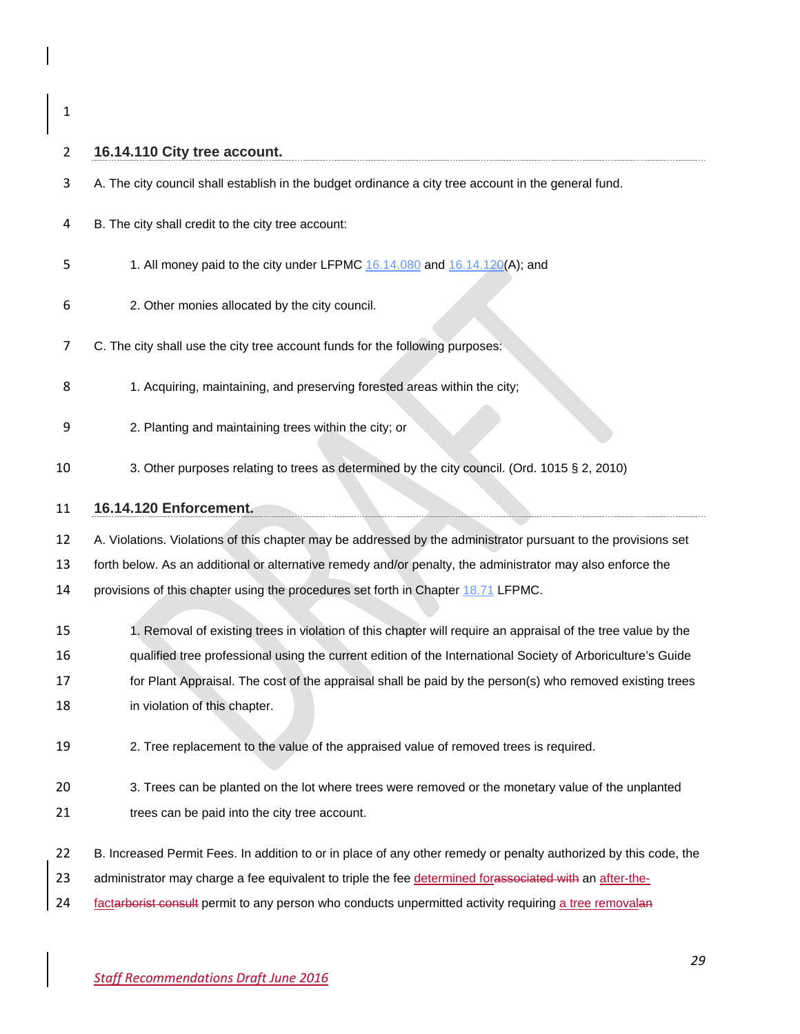# 

| 2  | 16.14.110 City tree account.                                                                                     |
|----|------------------------------------------------------------------------------------------------------------------|
| 3  | A. The city council shall establish in the budget ordinance a city tree account in the general fund.             |
| 4  | B. The city shall credit to the city tree account:                                                               |
| 5  | 1. All money paid to the city under LFPMC 16.14.080 and 16.14.120(A); and                                        |
| 6  | 2. Other monies allocated by the city council.                                                                   |
| 7  | C. The city shall use the city tree account funds for the following purposes:                                    |
| 8  | 1. Acquiring, maintaining, and preserving forested areas within the city;                                        |
| 9  | 2. Planting and maintaining trees within the city; or                                                            |
| 10 | 3. Other purposes relating to trees as determined by the city council. (Ord. 1015 § 2, 2010)                     |
| 11 | 16.14.120 Enforcement.                                                                                           |
| 12 | A. Violations. Violations of this chapter may be addressed by the administrator pursuant to the provisions set   |
| 13 | forth below. As an additional or alternative remedy and/or penalty, the administrator may also enforce the       |
| 14 | provisions of this chapter using the procedures set forth in Chapter 18.71 LFPMC.                                |
| 15 | 1. Removal of existing trees in violation of this chapter will require an appraisal of the tree value by the     |
| 16 | qualified tree professional using the current edition of the International Society of Arboriculture's Guide      |
| 17 | for Plant Appraisal. The cost of the appraisal shall be paid by the person(s) who removed existing trees         |
| 18 | in violation of this chapter.                                                                                    |
| 19 | 2. Tree replacement to the value of the appraised value of removed trees is required.                            |
| 20 | 3. Trees can be planted on the lot where trees were removed or the monetary value of the unplanted               |
| 21 | trees can be paid into the city tree account.                                                                    |
| 22 | B. Increased Permit Fees. In addition to or in place of any other remedy or penalty authorized by this code, the |
| 23 | administrator may charge a fee equivalent to triple the fee determined for associated with an after-the-         |
| 24 | factarborist consult permit to any person who conducts unpermitted activity requiring a tree removalan           |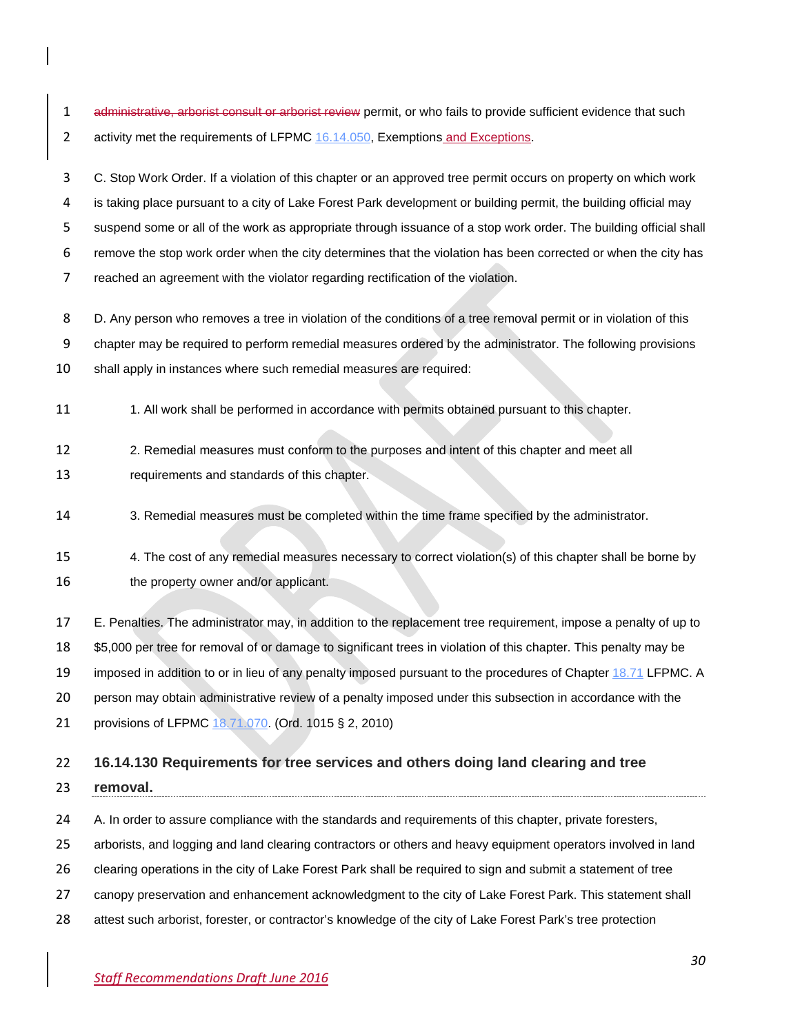1 administrative, arborist consult or arborist review permit, or who fails to provide sufficient evidence that such 2 activity met the requirements of LFPMC [16.14.050,](http://www.codepublishing.com/WA/LakeForestPark/html/LakeForestPark16/LakeForestPark1614.html#16.14.050) Exemptions and Exceptions.

 C. Stop Work Order. If a violation of this chapter or an approved tree permit occurs on property on which work is taking place pursuant to a city of Lake Forest Park development or building permit, the building official may suspend some or all of the work as appropriate through issuance of a stop work order. The building official shall remove the stop work order when the city determines that the violation has been corrected or when the city has reached an agreement with the violator regarding rectification of the violation.

8 D. Any person who removes a tree in violation of the conditions of a tree removal permit or in violation of this

chapter may be required to perform remedial measures ordered by the administrator. The following provisions

shall apply in instances where such remedial measures are required:

11 1. All work shall be performed in accordance with permits obtained pursuant to this chapter.

2. Remedial measures must conform to the purposes and intent of this chapter and meet all

requirements and standards of this chapter.

3. Remedial measures must be completed within the time frame specified by the administrator.

 4. The cost of any remedial measures necessary to correct violation(s) of this chapter shall be borne by 16 the property owner and/or applicant.

E. Penalties. The administrator may, in addition to the replacement tree requirement, impose a penalty of up to

\$5,000 per tree for removal of or damage to significant trees in violation of this chapter. This penalty may be

19 imposed in addition to or in lieu of any penalty imposed pursuant to the procedures of Chapter [18.71](http://www.codepublishing.com/WA/LakeForestPark/html/LakeForestPark18/LakeForestPark1871.html#18.71) LFPMC. A

person may obtain administrative review of a penalty imposed under this subsection in accordance with the

provisions of LFPMC [18.71.070.](http://www.codepublishing.com/WA/LakeForestPark/html/LakeForestPark18/LakeForestPark1871.html#18.71.070) (Ord. 1015 § 2, 2010)

#### **16.14.130 Requirements for tree services and others doing land clearing and tree**

**removal.**

24 A. In order to assure compliance with the standards and requirements of this chapter, private foresters,

arborists, and logging and land clearing contractors or others and heavy equipment operators involved in land

clearing operations in the city of Lake Forest Park shall be required to sign and submit a statement of tree

canopy preservation and enhancement acknowledgment to the city of Lake Forest Park. This statement shall

attest such arborist, forester, or contractor's knowledge of the city of Lake Forest Park's tree protection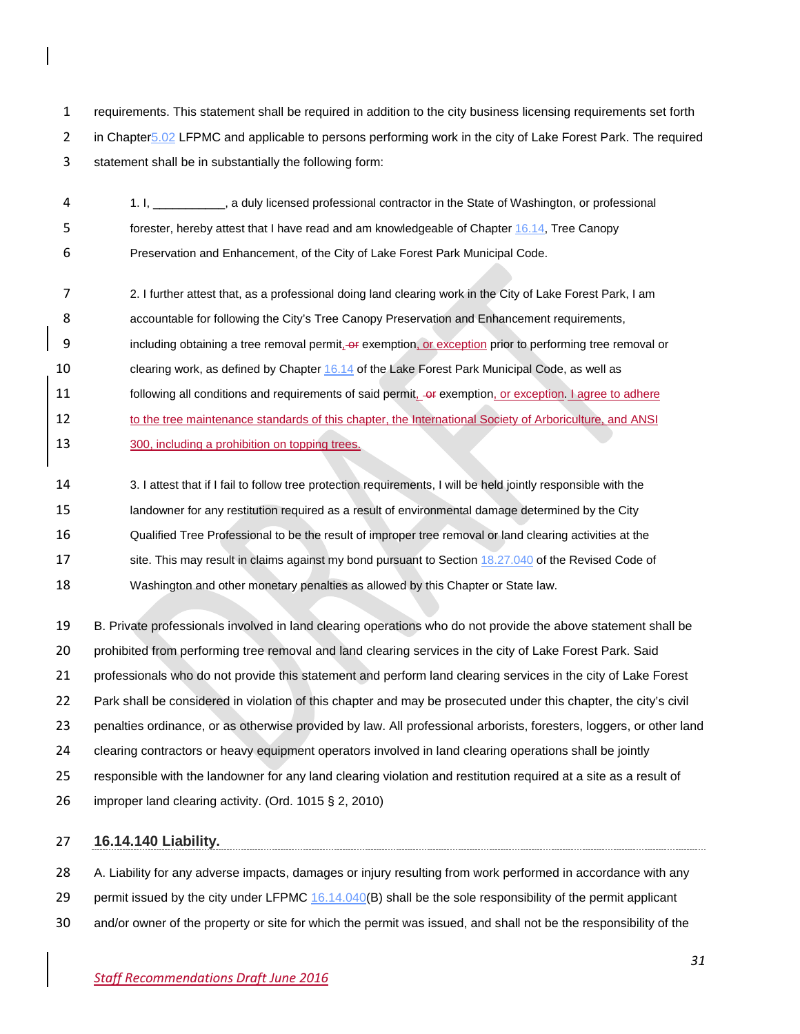requirements. This statement shall be required in addition to the city business licensing requirements set forth 2 in Chapter 5.02 LFPMC and applicable to persons performing work in the city of Lake Forest Park. The required statement shall be in substantially the following form:

 1. I, \_\_\_\_\_\_\_\_\_\_\_, a duly licensed professional contractor in the State of Washington, or professional forester, hereby attest that I have read and am knowledgeable of Chapter [16.14,](http://www.codepublishing.com/WA/LakeForestPark/html/LakeForestPark16/LakeForestPark1614.html#16.14) Tree Canopy Preservation and Enhancement, of the City of Lake Forest Park Municipal Code.

- 2. I further attest that, as a professional doing land clearing work in the City of Lake Forest Park, I am accountable for following the City's Tree Canopy Preservation and Enhancement requirements, 9 including obtaining a tree removal permit, or exemption, or exception prior to performing tree removal or clearing work, as defined by Chapter [16.14](http://www.codepublishing.com/WA/LakeForestPark/html/LakeForestPark16/LakeForestPark1614.html#16.14) of the Lake Forest Park Municipal Code, as well as 11 following all conditions and requirements of said permit, exemption, or exception. I agree to adhere 12 to the tree maintenance standards of this chapter, the International Society of Arboriculture, and ANSI 300, including a prohibition on topping trees.
- 3. I attest that if I fail to follow tree protection requirements, I will be held jointly responsible with the landowner for any restitution required as a result of environmental damage determined by the City Qualified Tree Professional to be the result of improper tree removal or land clearing activities at the 17 site. This may result in claims against my bond pursuant to Section [18.27.040](http://www.codepublishing.com/cgi-bin/rcw.pl?cite=18.27.040) of the Revised Code of Washington and other monetary penalties as allowed by this Chapter or State law.

 B. Private professionals involved in land clearing operations who do not provide the above statement shall be prohibited from performing tree removal and land clearing services in the city of Lake Forest Park. Said professionals who do not provide this statement and perform land clearing services in the city of Lake Forest Park shall be considered in violation of this chapter and may be prosecuted under this chapter, the city's civil penalties ordinance, or as otherwise provided by law. All professional arborists, foresters, loggers, or other land clearing contractors or heavy equipment operators involved in land clearing operations shall be jointly responsible with the landowner for any land clearing violation and restitution required at a site as a result of improper land clearing activity. (Ord. 1015 § 2, 2010)

## **16.14.140 Liability.**

 A. Liability for any adverse impacts, damages or injury resulting from work performed in accordance with any 29 permit issued by the city under LFPMC [16.14.040\(](http://www.codepublishing.com/WA/LakeForestPark/html/LakeForestPark16/LakeForestPark1614.html#16.14.040)B) shall be the sole responsibility of the permit applicant

and/or owner of the property or site for which the permit was issued, and shall not be the responsibility of the